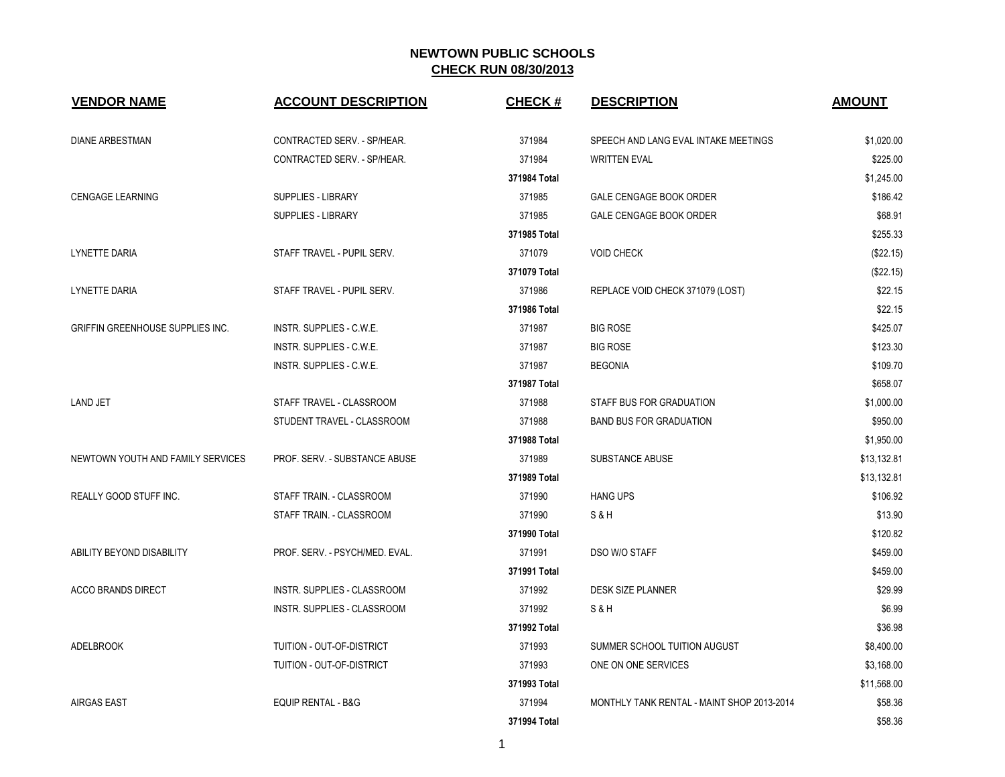| <b>VENDOR NAME</b>                      | <b>ACCOUNT DESCRIPTION</b>      | <b>CHECK#</b> | <b>DESCRIPTION</b>                         | <b>AMOUNT</b> |
|-----------------------------------------|---------------------------------|---------------|--------------------------------------------|---------------|
| <b>DIANE ARBESTMAN</b>                  | CONTRACTED SERV. - SP/HEAR.     | 371984        | SPEECH AND LANG EVAL INTAKE MEETINGS       | \$1,020.00    |
|                                         | CONTRACTED SERV. - SP/HEAR.     | 371984        | <b>WRITTEN EVAL</b>                        | \$225.00      |
|                                         |                                 | 371984 Total  |                                            | \$1,245.00    |
| <b>CENGAGE LEARNING</b>                 | <b>SUPPLIES - LIBRARY</b>       | 371985        | <b>GALE CENGAGE BOOK ORDER</b>             | \$186.42      |
|                                         | <b>SUPPLIES - LIBRARY</b>       | 371985        | <b>GALE CENGAGE BOOK ORDER</b>             | \$68.91       |
|                                         |                                 | 371985 Total  |                                            | \$255.33      |
| LYNETTE DARIA                           | STAFF TRAVEL - PUPIL SERV.      | 371079        | <b>VOID CHECK</b>                          | (\$22.15)     |
|                                         |                                 | 371079 Total  |                                            | (\$22.15)     |
| LYNETTE DARIA                           | STAFF TRAVEL - PUPIL SERV.      | 371986        | REPLACE VOID CHECK 371079 (LOST)           | \$22.15       |
|                                         |                                 | 371986 Total  |                                            | \$22.15       |
| <b>GRIFFIN GREENHOUSE SUPPLIES INC.</b> | <b>INSTR. SUPPLIES - C.W.E.</b> | 371987        | <b>BIG ROSE</b>                            | \$425.07      |
|                                         | <b>INSTR. SUPPLIES - C.W.E.</b> | 371987        | <b>BIG ROSE</b>                            | \$123.30      |
|                                         | INSTR. SUPPLIES - C.W.E.        | 371987        | <b>BEGONIA</b>                             | \$109.70      |
|                                         |                                 | 371987 Total  |                                            | \$658.07      |
| <b>LAND JET</b>                         | STAFF TRAVEL - CLASSROOM        | 371988        | STAFF BUS FOR GRADUATION                   | \$1,000.00    |
|                                         | STUDENT TRAVEL - CLASSROOM      | 371988        | <b>BAND BUS FOR GRADUATION</b>             | \$950.00      |
|                                         |                                 | 371988 Total  |                                            | \$1,950.00    |
| NEWTOWN YOUTH AND FAMILY SERVICES       | PROF. SERV. - SUBSTANCE ABUSE   | 371989        | <b>SUBSTANCE ABUSE</b>                     | \$13,132.81   |
|                                         |                                 | 371989 Total  |                                            | \$13,132.81   |
| REALLY GOOD STUFF INC.                  | STAFF TRAIN. - CLASSROOM        | 371990        | <b>HANG UPS</b>                            | \$106.92      |
|                                         | STAFF TRAIN. - CLASSROOM        | 371990        | S&H                                        | \$13.90       |
|                                         |                                 | 371990 Total  |                                            | \$120.82      |
| ABILITY BEYOND DISABILITY               | PROF. SERV. - PSYCH/MED. EVAL.  | 371991        | DSO W/O STAFF                              | \$459.00      |
|                                         |                                 | 371991 Total  |                                            | \$459.00      |
| <b>ACCO BRANDS DIRECT</b>               | INSTR. SUPPLIES - CLASSROOM     | 371992        | <b>DESK SIZE PLANNER</b>                   | \$29.99       |
|                                         | INSTR. SUPPLIES - CLASSROOM     | 371992        | S&H                                        | \$6.99        |
|                                         |                                 | 371992 Total  |                                            | \$36.98       |
| <b>ADELBROOK</b>                        | TUITION - OUT-OF-DISTRICT       | 371993        | SUMMER SCHOOL TUITION AUGUST               | \$8,400.00    |
|                                         | TUITION - OUT-OF-DISTRICT       | 371993        | ONE ON ONE SERVICES                        | \$3,168.00    |
|                                         |                                 | 371993 Total  |                                            | \$11,568.00   |
| <b>AIRGAS EAST</b>                      | <b>EQUIP RENTAL - B&amp;G</b>   | 371994        | MONTHLY TANK RENTAL - MAINT SHOP 2013-2014 | \$58.36       |
|                                         |                                 | 371994 Total  |                                            | \$58.36       |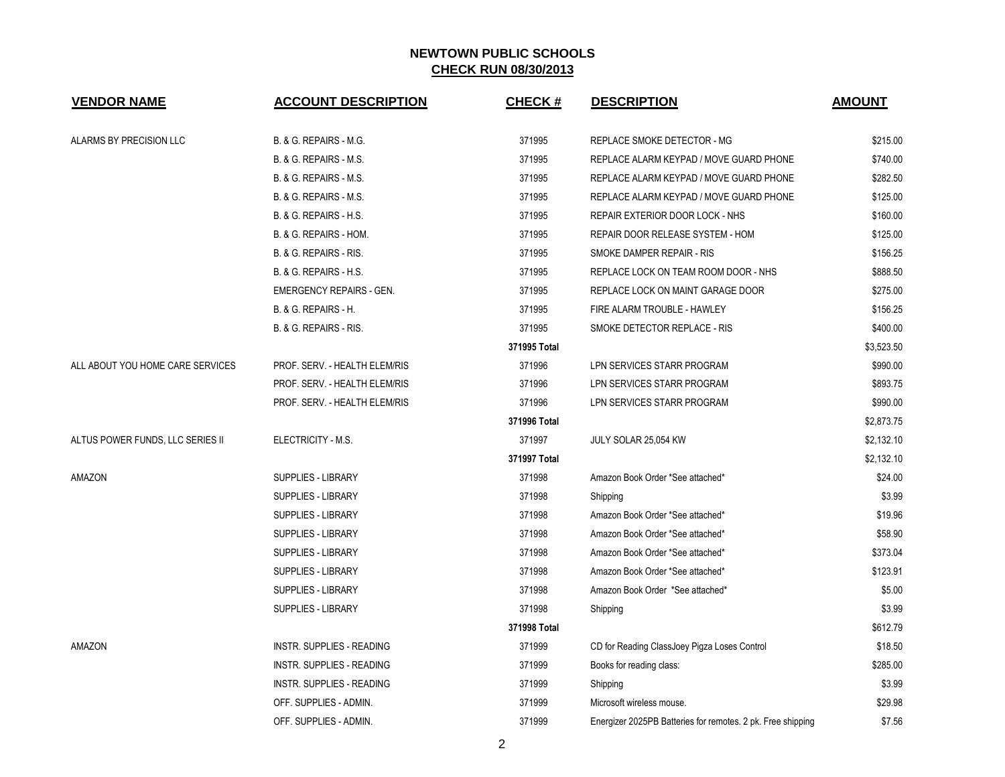| <b>VENDOR NAME</b>               | <b>ACCOUNT DESCRIPTION</b>       | <b>CHECK#</b> | <b>DESCRIPTION</b>                                          | <b>AMOUNT</b> |
|----------------------------------|----------------------------------|---------------|-------------------------------------------------------------|---------------|
| ALARMS BY PRECISION LLC          | B. & G. REPAIRS - M.G.           | 371995        | REPLACE SMOKE DETECTOR - MG                                 | \$215.00      |
|                                  | B. & G. REPAIRS - M.S.           | 371995        | REPLACE ALARM KEYPAD / MOVE GUARD PHONE                     | \$740.00      |
|                                  | B. & G. REPAIRS - M.S.           | 371995        | REPLACE ALARM KEYPAD / MOVE GUARD PHONE                     | \$282.50      |
|                                  | B. & G. REPAIRS - M.S.           | 371995        | REPLACE ALARM KEYPAD / MOVE GUARD PHONE                     | \$125.00      |
|                                  | B. & G. REPAIRS - H.S.           | 371995        | REPAIR EXTERIOR DOOR LOCK - NHS                             | \$160.00      |
|                                  | B. & G. REPAIRS - HOM.           | 371995        | REPAIR DOOR RELEASE SYSTEM - HOM                            | \$125.00      |
|                                  | B. & G. REPAIRS - RIS.           | 371995        | SMOKE DAMPER REPAIR - RIS                                   | \$156.25      |
|                                  | B. & G. REPAIRS - H.S.           | 371995        | REPLACE LOCK ON TEAM ROOM DOOR - NHS                        | \$888.50      |
|                                  | <b>EMERGENCY REPAIRS - GEN.</b>  | 371995        | REPLACE LOCK ON MAINT GARAGE DOOR                           | \$275.00      |
|                                  | B. & G. REPAIRS - H.             | 371995        | FIRE ALARM TROUBLE - HAWLEY                                 | \$156.25      |
|                                  | B. & G. REPAIRS - RIS.           | 371995        | SMOKE DETECTOR REPLACE - RIS                                | \$400.00      |
|                                  |                                  | 371995 Total  |                                                             | \$3,523.50    |
| ALL ABOUT YOU HOME CARE SERVICES | PROF. SERV. - HEALTH ELEM/RIS    | 371996        | LPN SERVICES STARR PROGRAM                                  | \$990.00      |
|                                  | PROF. SERV. - HEALTH ELEM/RIS    | 371996        | LPN SERVICES STARR PROGRAM                                  | \$893.75      |
|                                  | PROF. SERV. - HEALTH ELEM/RIS    | 371996        | LPN SERVICES STARR PROGRAM                                  | \$990.00      |
|                                  |                                  | 371996 Total  |                                                             | \$2,873.75    |
| ALTUS POWER FUNDS, LLC SERIES II | ELECTRICITY - M.S.               | 371997        | JULY SOLAR 25,054 KW                                        | \$2,132.10    |
|                                  |                                  | 371997 Total  |                                                             | \$2,132.10    |
| AMAZON                           | <b>SUPPLIES - LIBRARY</b>        | 371998        | Amazon Book Order *See attached*                            | \$24.00       |
|                                  | <b>SUPPLIES - LIBRARY</b>        | 371998        | Shipping                                                    | \$3.99        |
|                                  | <b>SUPPLIES - LIBRARY</b>        | 371998        | Amazon Book Order *See attached*                            | \$19.96       |
|                                  | SUPPLIES - LIBRARY               | 371998        | Amazon Book Order *See attached*                            | \$58.90       |
|                                  | <b>SUPPLIES - LIBRARY</b>        | 371998        | Amazon Book Order *See attached*                            | \$373.04      |
|                                  | SUPPLIES - LIBRARY               | 371998        | Amazon Book Order *See attached*                            | \$123.91      |
|                                  | SUPPLIES - LIBRARY               | 371998        | Amazon Book Order *See attached*                            | \$5.00        |
|                                  | <b>SUPPLIES - LIBRARY</b>        | 371998        | Shipping                                                    | \$3.99        |
|                                  |                                  | 371998 Total  |                                                             | \$612.79      |
| AMAZON                           | INSTR. SUPPLIES - READING        | 371999        | CD for Reading ClassJoey Pigza Loses Control                | \$18.50       |
|                                  | INSTR. SUPPLIES - READING        | 371999        | Books for reading class:                                    | \$285.00      |
|                                  | <b>INSTR. SUPPLIES - READING</b> | 371999        | Shipping                                                    | \$3.99        |
|                                  | OFF. SUPPLIES - ADMIN.           | 371999        | Microsoft wireless mouse.                                   | \$29.98       |
|                                  | OFF. SUPPLIES - ADMIN.           | 371999        | Energizer 2025PB Batteries for remotes. 2 pk. Free shipping | \$7.56        |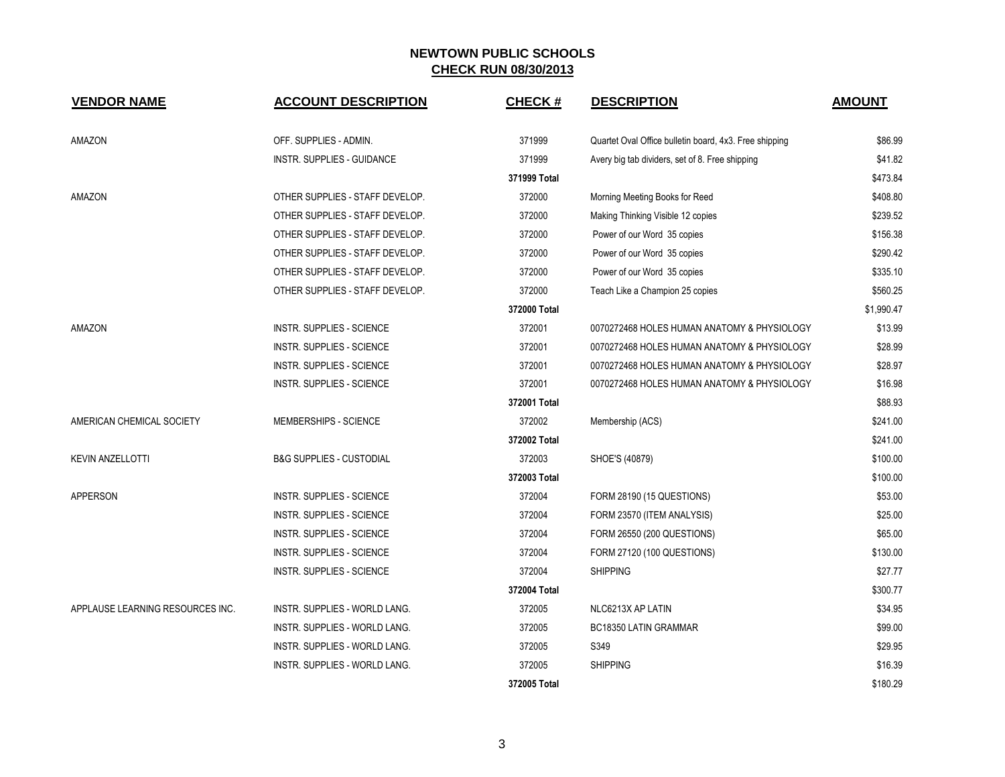| <b>VENDOR NAME</b>               | <b>ACCOUNT DESCRIPTION</b>           | <b>CHECK#</b> | <b>DESCRIPTION</b>                                     | <b>AMOUNT</b> |
|----------------------------------|--------------------------------------|---------------|--------------------------------------------------------|---------------|
| AMAZON                           | OFF. SUPPLIES - ADMIN.               | 371999        | Quartet Oval Office bulletin board, 4x3. Free shipping | \$86.99       |
|                                  | <b>INSTR. SUPPLIES - GUIDANCE</b>    | 371999        | Avery big tab dividers, set of 8. Free shipping        | \$41.82       |
|                                  |                                      | 371999 Total  |                                                        | \$473.84      |
| AMAZON                           | OTHER SUPPLIES - STAFF DEVELOP.      | 372000        | Morning Meeting Books for Reed                         | \$408.80      |
|                                  | OTHER SUPPLIES - STAFF DEVELOP.      | 372000        | Making Thinking Visible 12 copies                      | \$239.52      |
|                                  | OTHER SUPPLIES - STAFF DEVELOP.      | 372000        | Power of our Word 35 copies                            | \$156.38      |
|                                  | OTHER SUPPLIES - STAFF DEVELOP.      | 372000        | Power of our Word 35 copies                            | \$290.42      |
|                                  | OTHER SUPPLIES - STAFF DEVELOP.      | 372000        | Power of our Word 35 copies                            | \$335.10      |
|                                  | OTHER SUPPLIES - STAFF DEVELOP.      | 372000        | Teach Like a Champion 25 copies                        | \$560.25      |
|                                  |                                      | 372000 Total  |                                                        | \$1,990.47    |
| AMAZON                           | <b>INSTR. SUPPLIES - SCIENCE</b>     | 372001        | 0070272468 HOLES HUMAN ANATOMY & PHYSIOLOGY            | \$13.99       |
|                                  | INSTR. SUPPLIES - SCIENCE            | 372001        | 0070272468 HOLES HUMAN ANATOMY & PHYSIOLOGY            | \$28.99       |
|                                  | <b>INSTR. SUPPLIES - SCIENCE</b>     | 372001        | 0070272468 HOLES HUMAN ANATOMY & PHYSIOLOGY            | \$28.97       |
|                                  | <b>INSTR. SUPPLIES - SCIENCE</b>     | 372001        | 0070272468 HOLES HUMAN ANATOMY & PHYSIOLOGY            | \$16.98       |
|                                  |                                      | 372001 Total  |                                                        | \$88.93       |
| AMERICAN CHEMICAL SOCIETY        | MEMBERSHIPS - SCIENCE                | 372002        | Membership (ACS)                                       | \$241.00      |
|                                  |                                      | 372002 Total  |                                                        | \$241.00      |
| <b>KEVIN ANZELLOTTI</b>          | <b>B&amp;G SUPPLIES - CUSTODIAL</b>  | 372003        | SHOE'S (40879)                                         | \$100.00      |
|                                  |                                      | 372003 Total  |                                                        | \$100.00      |
| <b>APPERSON</b>                  | <b>INSTR. SUPPLIES - SCIENCE</b>     | 372004        | FORM 28190 (15 QUESTIONS)                              | \$53.00       |
|                                  | INSTR. SUPPLIES - SCIENCE            | 372004        | FORM 23570 (ITEM ANALYSIS)                             | \$25.00       |
|                                  | <b>INSTR. SUPPLIES - SCIENCE</b>     | 372004        | FORM 26550 (200 QUESTIONS)                             | \$65.00       |
|                                  | INSTR. SUPPLIES - SCIENCE            | 372004        | FORM 27120 (100 QUESTIONS)                             | \$130.00      |
|                                  | INSTR. SUPPLIES - SCIENCE            | 372004        | <b>SHIPPING</b>                                        | \$27.77       |
|                                  |                                      | 372004 Total  |                                                        | \$300.77      |
| APPLAUSE LEARNING RESOURCES INC. | INSTR. SUPPLIES - WORLD LANG.        | 372005        | NLC6213X AP LATIN                                      | \$34.95       |
|                                  | INSTR. SUPPLIES - WORLD LANG.        | 372005        | <b>BC18350 LATIN GRAMMAR</b>                           | \$99.00       |
|                                  | INSTR. SUPPLIES - WORLD LANG.        | 372005        | S349                                                   | \$29.95       |
|                                  | <b>INSTR. SUPPLIES - WORLD LANG.</b> | 372005        | <b>SHIPPING</b>                                        | \$16.39       |
|                                  |                                      | 372005 Total  |                                                        | \$180.29      |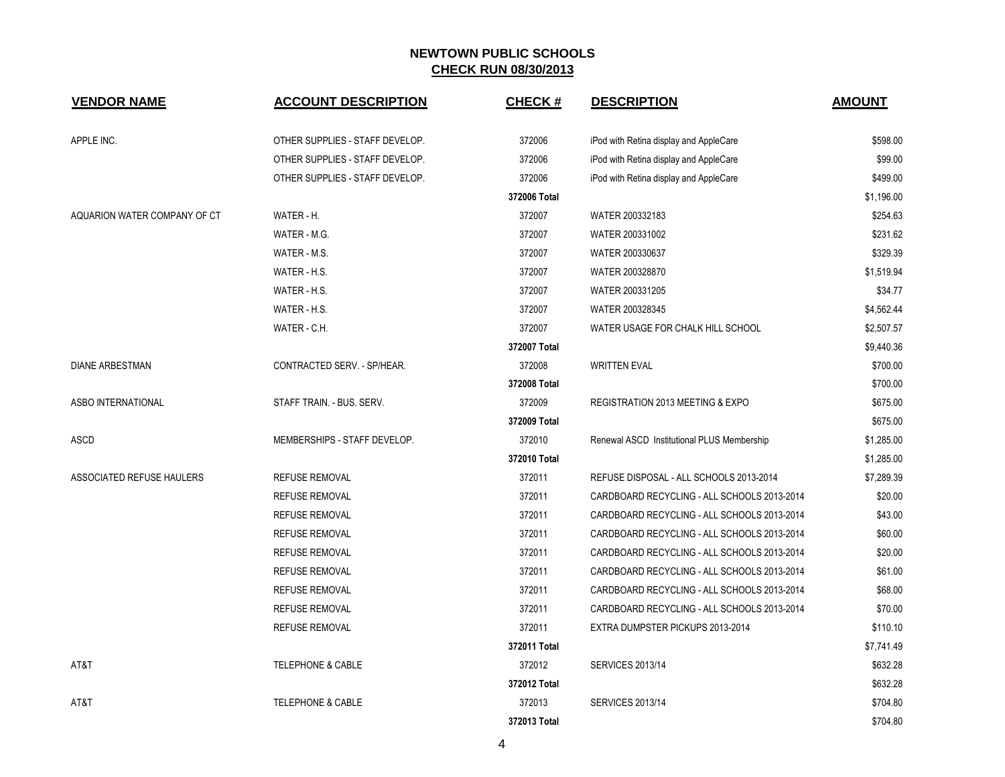| <b>VENDOR NAME</b>           | <b>ACCOUNT DESCRIPTION</b>      | <b>CHECK#</b> | <b>DESCRIPTION</b>                          | <b>AMOUNT</b> |
|------------------------------|---------------------------------|---------------|---------------------------------------------|---------------|
| APPLE INC.                   | OTHER SUPPLIES - STAFF DEVELOP. | 372006        | iPod with Retina display and AppleCare      | \$598.00      |
|                              | OTHER SUPPLIES - STAFF DEVELOP. | 372006        | iPod with Retina display and AppleCare      | \$99.00       |
|                              | OTHER SUPPLIES - STAFF DEVELOP. | 372006        | iPod with Retina display and AppleCare      | \$499.00      |
|                              |                                 | 372006 Total  |                                             | \$1,196.00    |
| AQUARION WATER COMPANY OF CT | WATER - H.                      | 372007        | WATER 200332183                             | \$254.63      |
|                              | WATER - M.G.                    | 372007        | WATER 200331002                             | \$231.62      |
|                              | WATER - M.S.                    | 372007        | WATER 200330637                             | \$329.39      |
|                              | WATER - H.S.                    | 372007        | WATER 200328870                             | \$1,519.94    |
|                              | WATER - H.S.                    | 372007        | WATER 200331205                             | \$34.77       |
|                              | WATER - H.S.                    | 372007        | WATER 200328345                             | \$4,562.44    |
|                              | WATER - C.H.                    | 372007        | WATER USAGE FOR CHALK HILL SCHOOL           | \$2,507.57    |
|                              |                                 | 372007 Total  |                                             | \$9,440.36    |
| <b>DIANE ARBESTMAN</b>       | CONTRACTED SERV. - SP/HEAR.     | 372008        | <b>WRITTEN EVAL</b>                         | \$700.00      |
|                              |                                 | 372008 Total  |                                             | \$700.00      |
| ASBO INTERNATIONAL           | STAFF TRAIN. - BUS. SERV.       | 372009        | REGISTRATION 2013 MEETING & EXPO            | \$675.00      |
|                              |                                 | 372009 Total  |                                             | \$675.00      |
| <b>ASCD</b>                  | MEMBERSHIPS - STAFF DEVELOP.    | 372010        | Renewal ASCD Institutional PLUS Membership  | \$1,285.00    |
|                              |                                 | 372010 Total  |                                             | \$1,285.00    |
| ASSOCIATED REFUSE HAULERS    | <b>REFUSE REMOVAL</b>           | 372011        | REFUSE DISPOSAL - ALL SCHOOLS 2013-2014     | \$7,289.39    |
|                              | <b>REFUSE REMOVAL</b>           | 372011        | CARDBOARD RECYCLING - ALL SCHOOLS 2013-2014 | \$20.00       |
|                              | <b>REFUSE REMOVAL</b>           | 372011        | CARDBOARD RECYCLING - ALL SCHOOLS 2013-2014 | \$43.00       |
|                              | <b>REFUSE REMOVAL</b>           | 372011        | CARDBOARD RECYCLING - ALL SCHOOLS 2013-2014 | \$60.00       |
|                              | <b>REFUSE REMOVAL</b>           | 372011        | CARDBOARD RECYCLING - ALL SCHOOLS 2013-2014 | \$20.00       |
|                              | <b>REFUSE REMOVAL</b>           | 372011        | CARDBOARD RECYCLING - ALL SCHOOLS 2013-2014 | \$61.00       |
|                              | <b>REFUSE REMOVAL</b>           | 372011        | CARDBOARD RECYCLING - ALL SCHOOLS 2013-2014 | \$68.00       |
|                              | <b>REFUSE REMOVAL</b>           | 372011        | CARDBOARD RECYCLING - ALL SCHOOLS 2013-2014 | \$70.00       |
|                              | <b>REFUSE REMOVAL</b>           | 372011        | EXTRA DUMPSTER PICKUPS 2013-2014            | \$110.10      |
|                              |                                 | 372011 Total  |                                             | \$7,741.49    |
| AT&T                         | <b>TELEPHONE &amp; CABLE</b>    | 372012        | <b>SERVICES 2013/14</b>                     | \$632.28      |
|                              |                                 | 372012 Total  |                                             | \$632.28      |
| AT&T                         | <b>TELEPHONE &amp; CABLE</b>    | 372013        | <b>SERVICES 2013/14</b>                     | \$704.80      |
|                              |                                 | 372013 Total  |                                             | \$704.80      |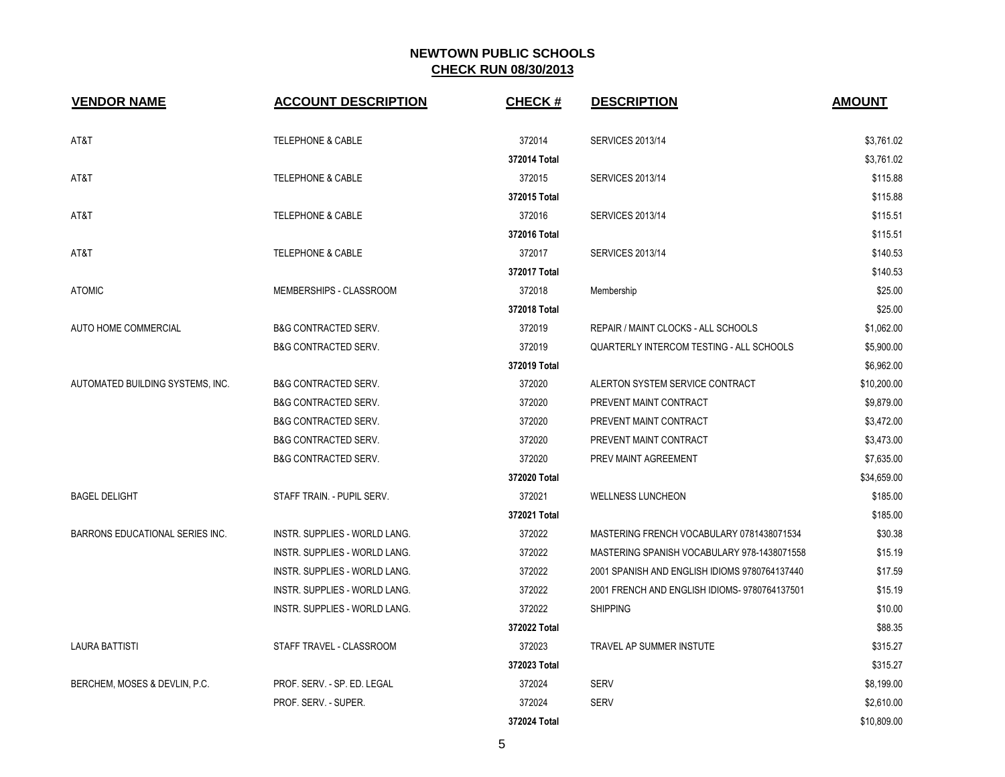| <b>VENDOR NAME</b>               | <b>ACCOUNT DESCRIPTION</b>      | <b>CHECK#</b> | <b>DESCRIPTION</b>                            | <b>AMOUNT</b> |
|----------------------------------|---------------------------------|---------------|-----------------------------------------------|---------------|
| AT&T                             | <b>TELEPHONE &amp; CABLE</b>    | 372014        | <b>SERVICES 2013/14</b>                       | \$3,761.02    |
|                                  |                                 | 372014 Total  |                                               | \$3,761.02    |
| AT&T                             | <b>TELEPHONE &amp; CABLE</b>    | 372015        | <b>SERVICES 2013/14</b>                       | \$115.88      |
|                                  |                                 | 372015 Total  |                                               | \$115.88      |
| AT&T                             | <b>TELEPHONE &amp; CABLE</b>    | 372016        | <b>SERVICES 2013/14</b>                       | \$115.51      |
|                                  |                                 | 372016 Total  |                                               | \$115.51      |
| AT&T                             | <b>TELEPHONE &amp; CABLE</b>    | 372017        | <b>SERVICES 2013/14</b>                       | \$140.53      |
|                                  |                                 | 372017 Total  |                                               | \$140.53      |
| <b>ATOMIC</b>                    | MEMBERSHIPS - CLASSROOM         | 372018        | Membership                                    | \$25.00       |
|                                  |                                 | 372018 Total  |                                               | \$25.00       |
| AUTO HOME COMMERCIAL             | <b>B&amp;G CONTRACTED SERV.</b> | 372019        | REPAIR / MAINT CLOCKS - ALL SCHOOLS           | \$1,062.00    |
|                                  | <b>B&amp;G CONTRACTED SERV.</b> | 372019        | QUARTERLY INTERCOM TESTING - ALL SCHOOLS      | \$5,900.00    |
|                                  |                                 | 372019 Total  |                                               | \$6,962.00    |
| AUTOMATED BUILDING SYSTEMS, INC. | <b>B&amp;G CONTRACTED SERV.</b> | 372020        | ALERTON SYSTEM SERVICE CONTRACT               | \$10,200.00   |
|                                  | <b>B&amp;G CONTRACTED SERV.</b> | 372020        | PREVENT MAINT CONTRACT                        | \$9,879.00    |
|                                  | <b>B&amp;G CONTRACTED SERV.</b> | 372020        | PREVENT MAINT CONTRACT                        | \$3,472.00    |
|                                  | <b>B&amp;G CONTRACTED SERV.</b> | 372020        | PREVENT MAINT CONTRACT                        | \$3,473.00    |
|                                  | <b>B&amp;G CONTRACTED SERV.</b> | 372020        | PREV MAINT AGREEMENT                          | \$7,635.00    |
|                                  |                                 | 372020 Total  |                                               | \$34,659.00   |
| <b>BAGEL DELIGHT</b>             | STAFF TRAIN. - PUPIL SERV.      | 372021        | <b>WELLNESS LUNCHEON</b>                      | \$185.00      |
|                                  |                                 | 372021 Total  |                                               | \$185.00      |
| BARRONS EDUCATIONAL SERIES INC.  | INSTR. SUPPLIES - WORLD LANG.   | 372022        | MASTERING FRENCH VOCABULARY 0781438071534     | \$30.38       |
|                                  | INSTR. SUPPLIES - WORLD LANG.   | 372022        | MASTERING SPANISH VOCABULARY 978-1438071558   | \$15.19       |
|                                  | INSTR. SUPPLIES - WORLD LANG.   | 372022        | 2001 SPANISH AND ENGLISH IDIOMS 9780764137440 | \$17.59       |
|                                  | INSTR. SUPPLIES - WORLD LANG.   | 372022        | 2001 FRENCH AND ENGLISH IDIOMS- 9780764137501 | \$15.19       |
|                                  | INSTR. SUPPLIES - WORLD LANG.   | 372022        | <b>SHIPPING</b>                               | \$10.00       |
|                                  |                                 | 372022 Total  |                                               | \$88.35       |
| <b>LAURA BATTISTI</b>            | STAFF TRAVEL - CLASSROOM        | 372023        | TRAVEL AP SUMMER INSTUTE                      | \$315.27      |
|                                  |                                 | 372023 Total  |                                               | \$315.27      |
| BERCHEM, MOSES & DEVLIN, P.C.    | PROF. SERV. - SP. ED. LEGAL     | 372024        | <b>SERV</b>                                   | \$8,199.00    |
|                                  | PROF. SERV. - SUPER.            | 372024        | <b>SERV</b>                                   | \$2,610.00    |
|                                  |                                 | 372024 Total  |                                               | \$10,809.00   |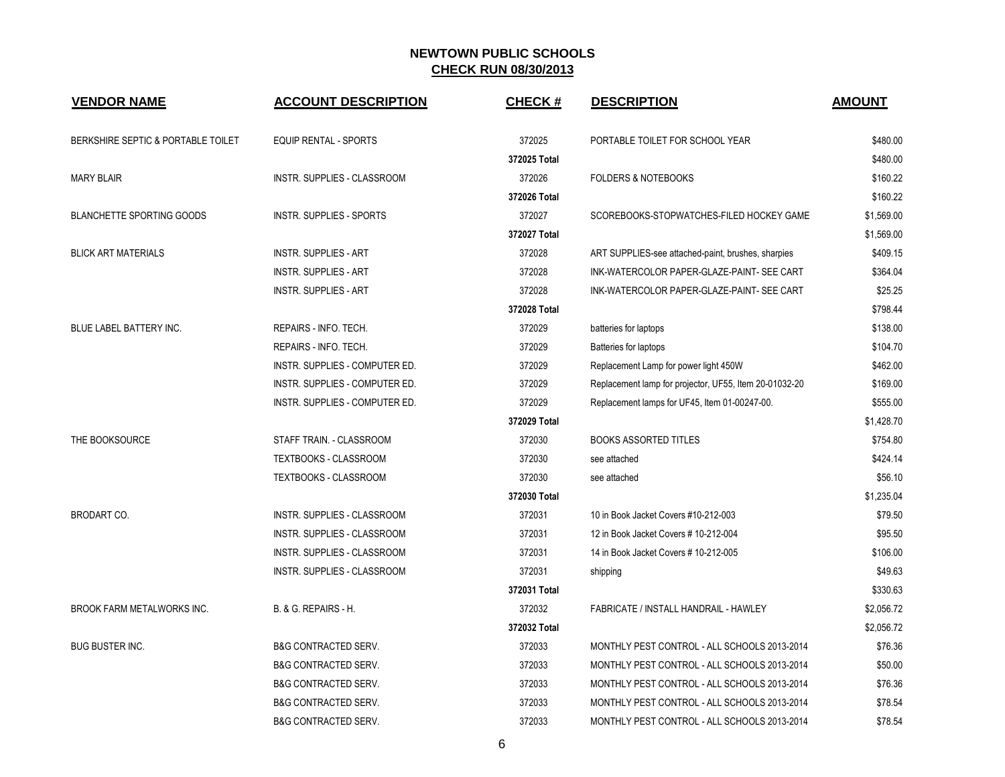| <b>VENDOR NAME</b>                            | <b>ACCOUNT DESCRIPTION</b>      | <b>CHECK#</b> | <b>DESCRIPTION</b>                                     | <b>AMOUNT</b> |
|-----------------------------------------------|---------------------------------|---------------|--------------------------------------------------------|---------------|
| <b>BERKSHIRE SEPTIC &amp; PORTABLE TOILET</b> | <b>EQUIP RENTAL - SPORTS</b>    | 372025        | PORTABLE TOILET FOR SCHOOL YEAR                        | \$480.00      |
|                                               |                                 | 372025 Total  |                                                        | \$480.00      |
| <b>MARY BLAIR</b>                             | INSTR. SUPPLIES - CLASSROOM     | 372026        | <b>FOLDERS &amp; NOTEBOOKS</b>                         | \$160.22      |
|                                               |                                 | 372026 Total  |                                                        | \$160.22      |
| <b>BLANCHETTE SPORTING GOODS</b>              | <b>INSTR. SUPPLIES - SPORTS</b> | 372027        | SCOREBOOKS-STOPWATCHES-FILED HOCKEY GAME               | \$1,569.00    |
|                                               |                                 | 372027 Total  |                                                        | \$1,569.00    |
| <b>BLICK ART MATERIALS</b>                    | <b>INSTR. SUPPLIES - ART</b>    | 372028        | ART SUPPLIES-see attached-paint, brushes, sharpies     | \$409.15      |
|                                               | <b>INSTR. SUPPLIES - ART</b>    | 372028        | INK-WATERCOLOR PAPER-GLAZE-PAINT- SEE CART             | \$364.04      |
|                                               | <b>INSTR. SUPPLIES - ART</b>    | 372028        | INK-WATERCOLOR PAPER-GLAZE-PAINT- SEE CART             | \$25.25       |
|                                               |                                 | 372028 Total  |                                                        | \$798.44      |
| BLUE LABEL BATTERY INC.                       | REPAIRS - INFO. TECH.           | 372029        | batteries for laptops                                  | \$138.00      |
|                                               | REPAIRS - INFO. TECH.           | 372029        | Batteries for laptops                                  | \$104.70      |
|                                               | INSTR. SUPPLIES - COMPUTER ED.  | 372029        | Replacement Lamp for power light 450W                  | \$462.00      |
|                                               | INSTR. SUPPLIES - COMPUTER ED.  | 372029        | Replacement lamp for projector, UF55, Item 20-01032-20 | \$169.00      |
|                                               | INSTR. SUPPLIES - COMPUTER ED.  | 372029        | Replacement lamps for UF45, Item 01-00247-00.          | \$555.00      |
|                                               |                                 | 372029 Total  |                                                        | \$1,428.70    |
| THE BOOKSOURCE                                | STAFF TRAIN. - CLASSROOM        | 372030        | <b>BOOKS ASSORTED TITLES</b>                           | \$754.80      |
|                                               | <b>TEXTBOOKS - CLASSROOM</b>    | 372030        | see attached                                           | \$424.14      |
|                                               | <b>TEXTBOOKS - CLASSROOM</b>    | 372030        | see attached                                           | \$56.10       |
|                                               |                                 | 372030 Total  |                                                        | \$1,235.04    |
| <b>BRODART CO.</b>                            | INSTR. SUPPLIES - CLASSROOM     | 372031        | 10 in Book Jacket Covers #10-212-003                   | \$79.50       |
|                                               | INSTR. SUPPLIES - CLASSROOM     | 372031        | 12 in Book Jacket Covers # 10-212-004                  | \$95.50       |
|                                               | INSTR. SUPPLIES - CLASSROOM     | 372031        | 14 in Book Jacket Covers # 10-212-005                  | \$106.00      |
|                                               | INSTR. SUPPLIES - CLASSROOM     | 372031        | shipping                                               | \$49.63       |
|                                               |                                 | 372031 Total  |                                                        | \$330.63      |
| <b>BROOK FARM METALWORKS INC.</b>             | B. & G. REPAIRS - H.            | 372032        | FABRICATE / INSTALL HANDRAIL - HAWLEY                  | \$2.056.72    |
|                                               |                                 | 372032 Total  |                                                        | \$2,056.72    |
| <b>BUG BUSTER INC.</b>                        | <b>B&amp;G CONTRACTED SERV.</b> | 372033        | MONTHLY PEST CONTROL - ALL SCHOOLS 2013-2014           | \$76.36       |
|                                               | <b>B&amp;G CONTRACTED SERV.</b> | 372033        | MONTHLY PEST CONTROL - ALL SCHOOLS 2013-2014           | \$50.00       |
|                                               | <b>B&amp;G CONTRACTED SERV.</b> | 372033        | MONTHLY PEST CONTROL - ALL SCHOOLS 2013-2014           | \$76.36       |
|                                               | <b>B&amp;G CONTRACTED SERV.</b> | 372033        | MONTHLY PEST CONTROL - ALL SCHOOLS 2013-2014           | \$78.54       |
|                                               | <b>B&amp;G CONTRACTED SERV.</b> | 372033        | MONTHLY PEST CONTROL - ALL SCHOOLS 2013-2014           | \$78.54       |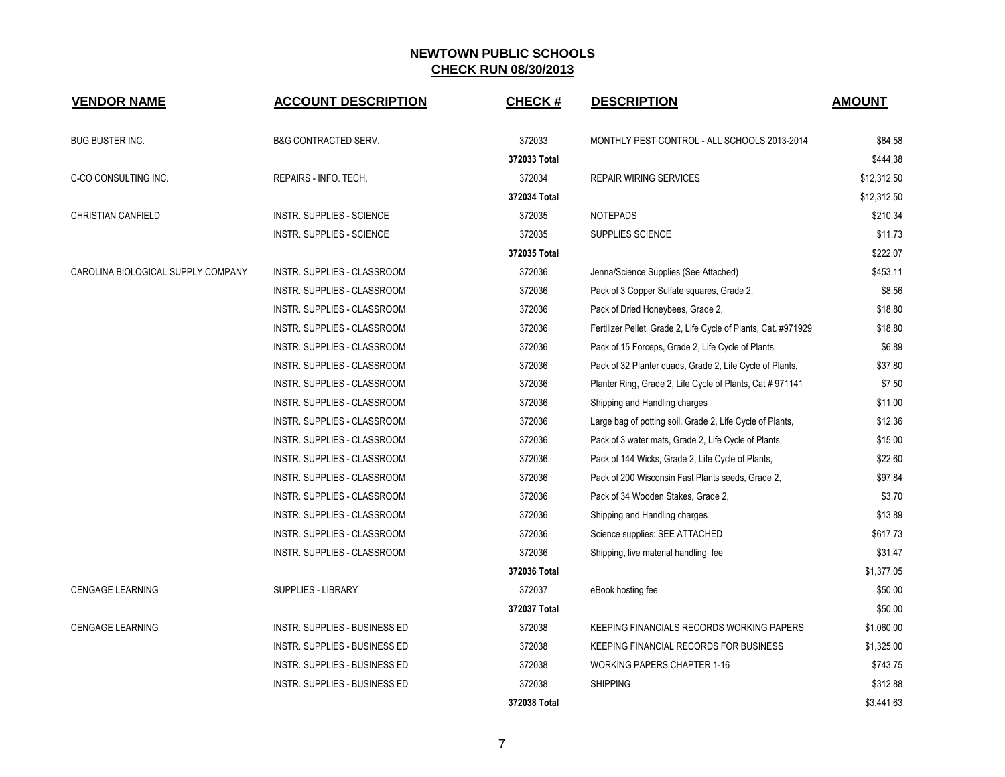| <b>VENDOR NAME</b>                 | <b>ACCOUNT DESCRIPTION</b>       | <b>CHECK#</b> | <b>DESCRIPTION</b>                                             | <b>AMOUNT</b> |
|------------------------------------|----------------------------------|---------------|----------------------------------------------------------------|---------------|
| <b>BUG BUSTER INC.</b>             | <b>B&amp;G CONTRACTED SERV.</b>  | 372033        | MONTHLY PEST CONTROL - ALL SCHOOLS 2013-2014                   | \$84.58       |
|                                    |                                  | 372033 Total  |                                                                | \$444.38      |
| C-CO CONSULTING INC.               | REPAIRS - INFO. TECH.            | 372034        | <b>REPAIR WIRING SERVICES</b>                                  | \$12,312.50   |
|                                    |                                  | 372034 Total  |                                                                | \$12,312.50   |
| <b>CHRISTIAN CANFIELD</b>          | <b>INSTR. SUPPLIES - SCIENCE</b> | 372035        | <b>NOTEPADS</b>                                                | \$210.34      |
|                                    | <b>INSTR. SUPPLIES - SCIENCE</b> | 372035        | SUPPLIES SCIENCE                                               | \$11.73       |
|                                    |                                  | 372035 Total  |                                                                | \$222.07      |
| CAROLINA BIOLOGICAL SUPPLY COMPANY | INSTR. SUPPLIES - CLASSROOM      | 372036        | Jenna/Science Supplies (See Attached)                          | \$453.11      |
|                                    | INSTR. SUPPLIES - CLASSROOM      | 372036        | Pack of 3 Copper Sulfate squares, Grade 2,                     | \$8.56        |
|                                    | INSTR. SUPPLIES - CLASSROOM      | 372036        | Pack of Dried Honeybees, Grade 2,                              | \$18.80       |
|                                    | INSTR. SUPPLIES - CLASSROOM      | 372036        | Fertilizer Pellet, Grade 2, Life Cycle of Plants, Cat. #971929 | \$18.80       |
|                                    | INSTR. SUPPLIES - CLASSROOM      | 372036        | Pack of 15 Forceps, Grade 2, Life Cycle of Plants,             | \$6.89        |
|                                    | INSTR. SUPPLIES - CLASSROOM      | 372036        | Pack of 32 Planter quads, Grade 2, Life Cycle of Plants,       | \$37.80       |
|                                    | INSTR. SUPPLIES - CLASSROOM      | 372036        | Planter Ring, Grade 2, Life Cycle of Plants, Cat # 971141      | \$7.50        |
|                                    | INSTR. SUPPLIES - CLASSROOM      | 372036        | Shipping and Handling charges                                  | \$11.00       |
|                                    | INSTR. SUPPLIES - CLASSROOM      | 372036        | Large bag of potting soil, Grade 2, Life Cycle of Plants,      | \$12.36       |
|                                    | INSTR. SUPPLIES - CLASSROOM      | 372036        | Pack of 3 water mats, Grade 2, Life Cycle of Plants,           | \$15.00       |
|                                    | INSTR. SUPPLIES - CLASSROOM      | 372036        | Pack of 144 Wicks, Grade 2, Life Cycle of Plants,              | \$22.60       |
|                                    | INSTR. SUPPLIES - CLASSROOM      | 372036        | Pack of 200 Wisconsin Fast Plants seeds, Grade 2,              | \$97.84       |
|                                    | INSTR. SUPPLIES - CLASSROOM      | 372036        | Pack of 34 Wooden Stakes, Grade 2,                             | \$3.70        |
|                                    | INSTR. SUPPLIES - CLASSROOM      | 372036        | Shipping and Handling charges                                  | \$13.89       |
|                                    | INSTR. SUPPLIES - CLASSROOM      | 372036        | Science supplies: SEE ATTACHED                                 | \$617.73      |
|                                    | INSTR. SUPPLIES - CLASSROOM      | 372036        | Shipping, live material handling fee                           | \$31.47       |
|                                    |                                  | 372036 Total  |                                                                | \$1,377.05    |
| <b>CENGAGE LEARNING</b>            | <b>SUPPLIES - LIBRARY</b>        | 372037        | eBook hosting fee                                              | \$50.00       |
|                                    |                                  | 372037 Total  |                                                                | \$50.00       |
| <b>CENGAGE LEARNING</b>            | INSTR. SUPPLIES - BUSINESS ED    | 372038        | KEEPING FINANCIALS RECORDS WORKING PAPERS                      | \$1,060.00    |
|                                    | INSTR. SUPPLIES - BUSINESS ED    | 372038        | KEEPING FINANCIAL RECORDS FOR BUSINESS                         | \$1,325.00    |
|                                    | INSTR. SUPPLIES - BUSINESS ED    | 372038        | <b>WORKING PAPERS CHAPTER 1-16</b>                             | \$743.75      |
|                                    | INSTR. SUPPLIES - BUSINESS ED    | 372038        | <b>SHIPPING</b>                                                | \$312.88      |
|                                    |                                  | 372038 Total  |                                                                | \$3.441.63    |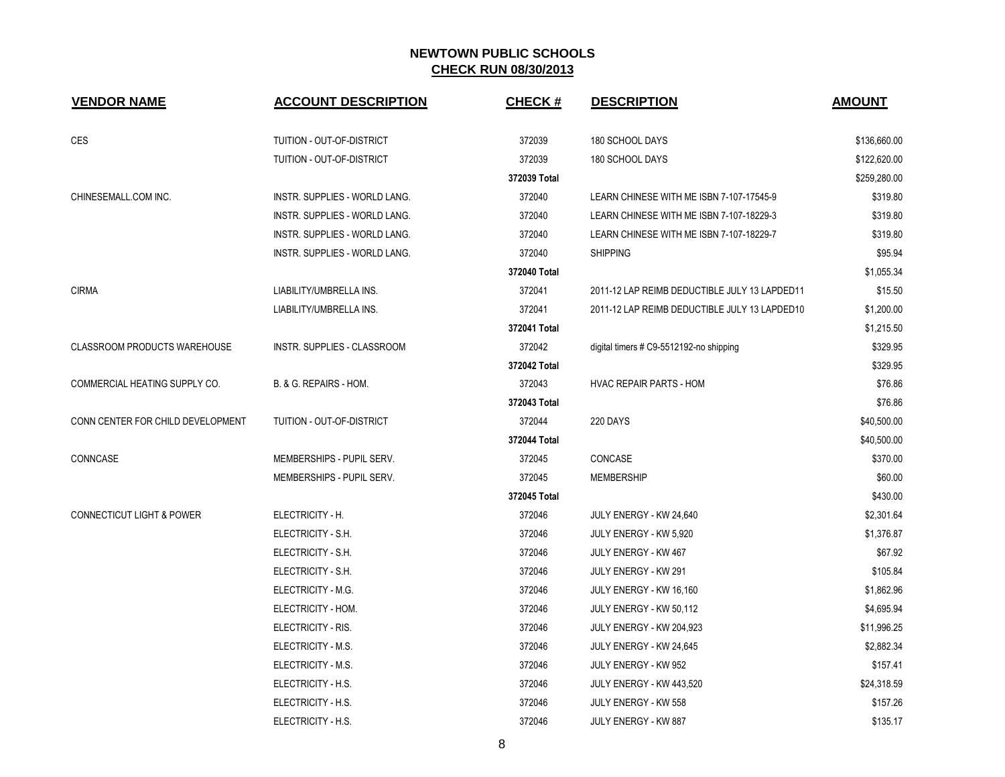| <b>VENDOR NAME</b>                   | <b>ACCOUNT DESCRIPTION</b>           | <b>CHECK#</b> | <b>DESCRIPTION</b>                            | <b>AMOUNT</b> |
|--------------------------------------|--------------------------------------|---------------|-----------------------------------------------|---------------|
| <b>CES</b>                           | TUITION - OUT-OF-DISTRICT            | 372039        | 180 SCHOOL DAYS                               | \$136,660.00  |
|                                      | TUITION - OUT-OF-DISTRICT            | 372039        | 180 SCHOOL DAYS                               | \$122,620.00  |
|                                      |                                      | 372039 Total  |                                               | \$259,280.00  |
| CHINESEMALL.COM INC.                 | <b>INSTR. SUPPLIES - WORLD LANG.</b> | 372040        | LEARN CHINESE WITH ME ISBN 7-107-17545-9      | \$319.80      |
|                                      | INSTR. SUPPLIES - WORLD LANG.        | 372040        | LEARN CHINESE WITH ME ISBN 7-107-18229-3      | \$319.80      |
|                                      | INSTR. SUPPLIES - WORLD LANG.        | 372040        | LEARN CHINESE WITH ME ISBN 7-107-18229-7      | \$319.80      |
|                                      | INSTR. SUPPLIES - WORLD LANG.        | 372040        | <b>SHIPPING</b>                               | \$95.94       |
|                                      |                                      | 372040 Total  |                                               | \$1,055.34    |
| <b>CIRMA</b>                         | LIABILITY/UMBRELLA INS.              | 372041        | 2011-12 LAP REIMB DEDUCTIBLE JULY 13 LAPDED11 | \$15.50       |
|                                      | LIABILITY/UMBRELLA INS.              | 372041        | 2011-12 LAP REIMB DEDUCTIBLE JULY 13 LAPDED10 | \$1,200.00    |
|                                      |                                      | 372041 Total  |                                               | \$1,215.50    |
| <b>CLASSROOM PRODUCTS WAREHOUSE</b>  | <b>INSTR. SUPPLIES - CLASSROOM</b>   | 372042        | digital timers # C9-5512192-no shipping       | \$329.95      |
|                                      |                                      | 372042 Total  |                                               | \$329.95      |
| COMMERCIAL HEATING SUPPLY CO.        | B. & G. REPAIRS - HOM.               | 372043        | <b>HVAC REPAIR PARTS - HOM</b>                | \$76.86       |
|                                      |                                      | 372043 Total  |                                               | \$76.86       |
| CONN CENTER FOR CHILD DEVELOPMENT    | TUITION - OUT-OF-DISTRICT            | 372044        | 220 DAYS                                      | \$40,500.00   |
|                                      |                                      | 372044 Total  |                                               | \$40,500.00   |
| CONNCASE                             | MEMBERSHIPS - PUPIL SERV.            | 372045        | CONCASE                                       | \$370.00      |
|                                      | MEMBERSHIPS - PUPIL SERV.            | 372045        | <b>MEMBERSHIP</b>                             | \$60.00       |
|                                      |                                      | 372045 Total  |                                               | \$430.00      |
| <b>CONNECTICUT LIGHT &amp; POWER</b> | ELECTRICITY - H.                     | 372046        | JULY ENERGY - KW 24,640                       | \$2,301.64    |
|                                      | ELECTRICITY - S.H.                   | 372046        | JULY ENERGY - KW 5,920                        | \$1,376.87    |
|                                      | ELECTRICITY - S.H.                   | 372046        | JULY ENERGY - KW 467                          | \$67.92       |
|                                      | ELECTRICITY - S.H.                   | 372046        | JULY ENERGY - KW 291                          | \$105.84      |
|                                      | ELECTRICITY - M.G.                   | 372046        | JULY ENERGY - KW 16,160                       | \$1,862.96    |
|                                      | ELECTRICITY - HOM.                   | 372046        | JULY ENERGY - KW 50,112                       | \$4,695.94    |
|                                      | ELECTRICITY - RIS.                   | 372046        | JULY ENERGY - KW 204,923                      | \$11,996.25   |
|                                      | ELECTRICITY - M.S.                   | 372046        | JULY ENERGY - KW 24,645                       | \$2,882.34    |
|                                      | ELECTRICITY - M.S.                   | 372046        | JULY ENERGY - KW 952                          | \$157.41      |
|                                      | ELECTRICITY - H.S.                   | 372046        | JULY ENERGY - KW 443,520                      | \$24,318.59   |
|                                      | ELECTRICITY - H.S.                   | 372046        | JULY ENERGY - KW 558                          | \$157.26      |
|                                      | ELECTRICITY - H.S.                   | 372046        | JULY ENERGY - KW 887                          | \$135.17      |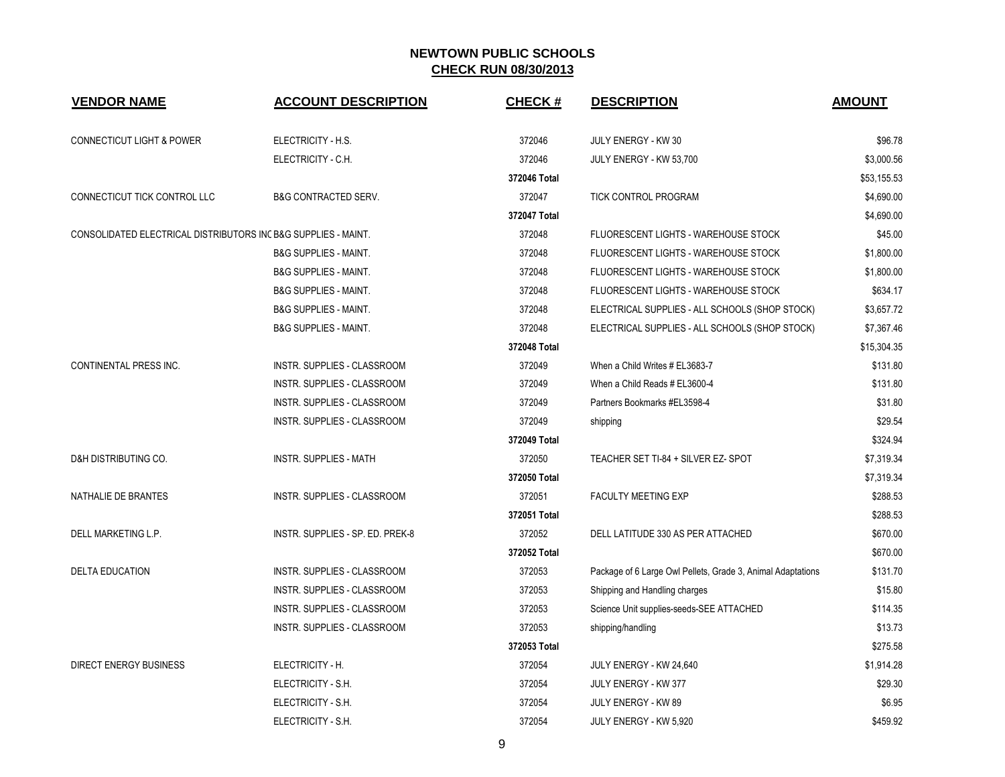| <b>VENDOR NAME</b>                                             | <b>ACCOUNT DESCRIPTION</b>       | <b>CHECK#</b> | <b>DESCRIPTION</b>                                          | <b>AMOUNT</b> |
|----------------------------------------------------------------|----------------------------------|---------------|-------------------------------------------------------------|---------------|
|                                                                |                                  |               |                                                             |               |
| <b>CONNECTICUT LIGHT &amp; POWER</b>                           | ELECTRICITY - H.S.               | 372046        | JULY ENERGY - KW 30                                         | \$96.78       |
|                                                                | ELECTRICITY - C.H.               | 372046        | JULY ENERGY - KW 53,700                                     | \$3,000.56    |
|                                                                |                                  | 372046 Total  |                                                             | \$53,155.53   |
| CONNECTICUT TICK CONTROL LLC                                   | <b>B&amp;G CONTRACTED SERV.</b>  | 372047        | <b>TICK CONTROL PROGRAM</b>                                 | \$4,690.00    |
|                                                                |                                  | 372047 Total  |                                                             | \$4,690.00    |
| CONSOLIDATED ELECTRICAL DISTRIBUTORS INC B&G SUPPLIES - MAINT. |                                  | 372048        | FLUORESCENT LIGHTS - WAREHOUSE STOCK                        | \$45.00       |
|                                                                | <b>B&amp;G SUPPLIES - MAINT.</b> | 372048        | FLUORESCENT LIGHTS - WAREHOUSE STOCK                        | \$1,800.00    |
|                                                                | <b>B&amp;G SUPPLIES - MAINT.</b> | 372048        | FLUORESCENT LIGHTS - WAREHOUSE STOCK                        | \$1,800.00    |
|                                                                | <b>B&amp;G SUPPLIES - MAINT.</b> | 372048        | <b>FLUORESCENT LIGHTS - WAREHOUSE STOCK</b>                 | \$634.17      |
|                                                                | <b>B&amp;G SUPPLIES - MAINT.</b> | 372048        | ELECTRICAL SUPPLIES - ALL SCHOOLS (SHOP STOCK)              | \$3,657.72    |
|                                                                | <b>B&amp;G SUPPLIES - MAINT.</b> | 372048        | ELECTRICAL SUPPLIES - ALL SCHOOLS (SHOP STOCK)              | \$7,367.46    |
|                                                                |                                  | 372048 Total  |                                                             | \$15,304.35   |
| CONTINENTAL PRESS INC.                                         | INSTR. SUPPLIES - CLASSROOM      | 372049        | When a Child Writes # EL3683-7                              | \$131.80      |
|                                                                | INSTR. SUPPLIES - CLASSROOM      | 372049        | When a Child Reads # EL3600-4                               | \$131.80      |
|                                                                | INSTR. SUPPLIES - CLASSROOM      | 372049        | Partners Bookmarks #EL3598-4                                | \$31.80       |
|                                                                | INSTR. SUPPLIES - CLASSROOM      | 372049        | shipping                                                    | \$29.54       |
|                                                                |                                  | 372049 Total  |                                                             | \$324.94      |
| <b>D&amp;H DISTRIBUTING CO.</b>                                | <b>INSTR. SUPPLIES - MATH</b>    | 372050        | TEACHER SET TI-84 + SILVER EZ- SPOT                         | \$7,319.34    |
|                                                                |                                  | 372050 Total  |                                                             | \$7,319.34    |
| NATHALIE DE BRANTES                                            | INSTR. SUPPLIES - CLASSROOM      | 372051        | <b>FACULTY MEETING EXP</b>                                  | \$288.53      |
|                                                                |                                  | 372051 Total  |                                                             | \$288.53      |
| DELL MARKETING L.P.                                            | INSTR. SUPPLIES - SP. ED. PREK-8 | 372052        | DELL LATITUDE 330 AS PER ATTACHED                           | \$670.00      |
|                                                                |                                  | 372052 Total  |                                                             | \$670.00      |
| <b>DELTA EDUCATION</b>                                         | INSTR. SUPPLIES - CLASSROOM      | 372053        | Package of 6 Large Owl Pellets, Grade 3, Animal Adaptations | \$131.70      |
|                                                                | INSTR. SUPPLIES - CLASSROOM      | 372053        | Shipping and Handling charges                               | \$15.80       |
|                                                                | INSTR. SUPPLIES - CLASSROOM      | 372053        | Science Unit supplies-seeds-SEE ATTACHED                    | \$114.35      |
|                                                                | INSTR. SUPPLIES - CLASSROOM      | 372053        | shipping/handling                                           | \$13.73       |
|                                                                |                                  | 372053 Total  |                                                             | \$275.58      |
| <b>DIRECT ENERGY BUSINESS</b>                                  | ELECTRICITY - H.                 | 372054        | JULY ENERGY - KW 24,640                                     | \$1,914.28    |
|                                                                | ELECTRICITY - S.H.               | 372054        | JULY ENERGY - KW 377                                        | \$29.30       |
|                                                                | ELECTRICITY - S.H.               | 372054        | <b>JULY ENERGY - KW 89</b>                                  | \$6.95        |
|                                                                | ELECTRICITY - S.H.               | 372054        | JULY ENERGY - KW 5.920                                      | \$459.92      |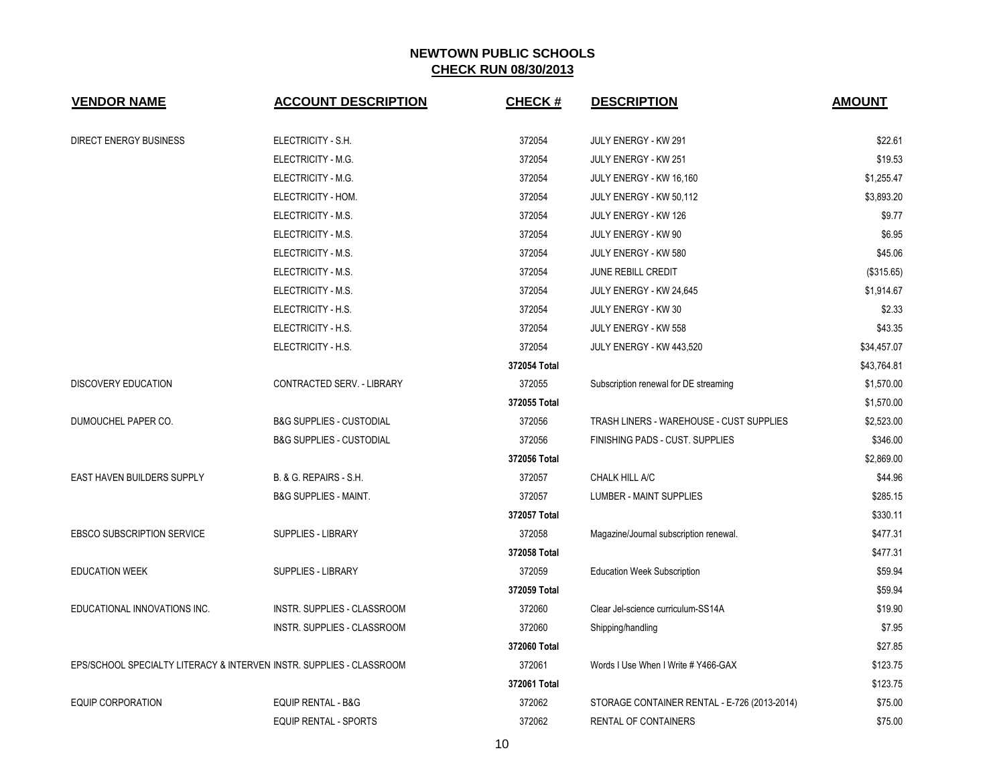| <b>VENDOR NAME</b>                                                   | <b>ACCOUNT DESCRIPTION</b>          | <b>CHECK#</b> | <b>DESCRIPTION</b>                           | <b>AMOUNT</b> |
|----------------------------------------------------------------------|-------------------------------------|---------------|----------------------------------------------|---------------|
| <b>DIRECT ENERGY BUSINESS</b>                                        | ELECTRICITY - S.H.                  | 372054        | JULY ENERGY - KW 291                         | \$22.61       |
|                                                                      | ELECTRICITY - M.G.                  | 372054        | JULY ENERGY - KW 251                         | \$19.53       |
|                                                                      | ELECTRICITY - M.G.                  | 372054        | JULY ENERGY - KW 16,160                      | \$1,255.47    |
|                                                                      | ELECTRICITY - HOM.                  | 372054        | JULY ENERGY - KW 50,112                      | \$3,893.20    |
|                                                                      | ELECTRICITY - M.S.                  | 372054        | JULY ENERGY - KW 126                         | \$9.77        |
|                                                                      | ELECTRICITY - M.S.                  | 372054        | JULY ENERGY - KW 90                          | \$6.95        |
|                                                                      | ELECTRICITY - M.S.                  | 372054        | JULY ENERGY - KW 580                         | \$45.06       |
|                                                                      | ELECTRICITY - M.S.                  | 372054        | JUNE REBILL CREDIT                           | (\$315.65)    |
|                                                                      | ELECTRICITY - M.S.                  | 372054        | JULY ENERGY - KW 24,645                      | \$1,914.67    |
|                                                                      | ELECTRICITY - H.S.                  | 372054        | JULY ENERGY - KW 30                          | \$2.33        |
|                                                                      | ELECTRICITY - H.S.                  | 372054        | JULY ENERGY - KW 558                         | \$43.35       |
|                                                                      | ELECTRICITY - H.S.                  | 372054        | <b>JULY ENERGY - KW 443,520</b>              | \$34,457.07   |
|                                                                      |                                     | 372054 Total  |                                              | \$43,764.81   |
| <b>DISCOVERY EDUCATION</b>                                           | CONTRACTED SERV. - LIBRARY          | 372055        | Subscription renewal for DE streaming        | \$1,570.00    |
|                                                                      |                                     | 372055 Total  |                                              | \$1,570.00    |
| DUMOUCHEL PAPER CO.                                                  | <b>B&amp;G SUPPLIES - CUSTODIAL</b> | 372056        | TRASH LINERS - WAREHOUSE - CUST SUPPLIES     | \$2,523.00    |
|                                                                      | <b>B&amp;G SUPPLIES - CUSTODIAL</b> | 372056        | FINISHING PADS - CUST. SUPPLIES              | \$346.00      |
|                                                                      |                                     | 372056 Total  |                                              | \$2,869.00    |
| EAST HAVEN BUILDERS SUPPLY                                           | B. & G. REPAIRS - S.H.              | 372057        | CHALK HILL A/C                               | \$44.96       |
|                                                                      | <b>B&amp;G SUPPLIES - MAINT.</b>    | 372057        | LUMBER - MAINT SUPPLIES                      | \$285.15      |
|                                                                      |                                     | 372057 Total  |                                              | \$330.11      |
| <b>EBSCO SUBSCRIPTION SERVICE</b>                                    | SUPPLIES - LIBRARY                  | 372058        | Magazine/Journal subscription renewal.       | \$477.31      |
|                                                                      |                                     | 372058 Total  |                                              | \$477.31      |
| <b>EDUCATION WEEK</b>                                                | <b>SUPPLIES - LIBRARY</b>           | 372059        | <b>Education Week Subscription</b>           | \$59.94       |
|                                                                      |                                     | 372059 Total  |                                              | \$59.94       |
| EDUCATIONAL INNOVATIONS INC.                                         | INSTR. SUPPLIES - CLASSROOM         | 372060        | Clear Jel-science curriculum-SS14A           | \$19.90       |
|                                                                      | INSTR. SUPPLIES - CLASSROOM         | 372060        | Shipping/handling                            | \$7.95        |
|                                                                      |                                     | 372060 Total  |                                              | \$27.85       |
| EPS/SCHOOL SPECIALTY LITERACY & INTERVEN INSTR. SUPPLIES - CLASSROOM |                                     | 372061        | Words I Use When I Write # Y466-GAX          | \$123.75      |
|                                                                      |                                     | 372061 Total  |                                              | \$123.75      |
| <b>EQUIP CORPORATION</b>                                             | <b>EQUIP RENTAL - B&amp;G</b>       | 372062        | STORAGE CONTAINER RENTAL - E-726 (2013-2014) | \$75.00       |
|                                                                      | <b>EQUIP RENTAL - SPORTS</b>        | 372062        | RENTAL OF CONTAINERS                         | \$75.00       |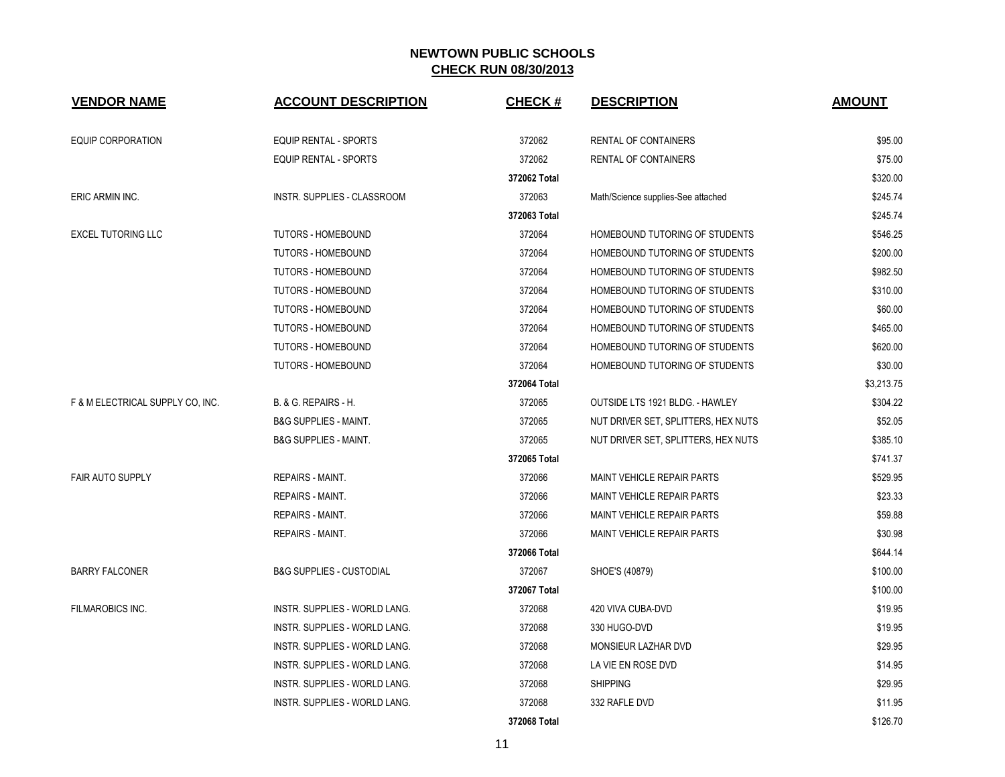| <b>VENDOR NAME</b>               | <b>ACCOUNT DESCRIPTION</b>          | <b>CHECK#</b> | <b>DESCRIPTION</b>                  | <b>AMOUNT</b> |
|----------------------------------|-------------------------------------|---------------|-------------------------------------|---------------|
| <b>EQUIP CORPORATION</b>         | <b>EQUIP RENTAL - SPORTS</b>        | 372062        | RENTAL OF CONTAINERS                | \$95.00       |
|                                  | <b>EQUIP RENTAL - SPORTS</b>        | 372062        | RENTAL OF CONTAINERS                | \$75.00       |
|                                  |                                     | 372062 Total  |                                     | \$320.00      |
| ERIC ARMIN INC.                  | INSTR. SUPPLIES - CLASSROOM         | 372063        | Math/Science supplies-See attached  | \$245.74      |
|                                  |                                     | 372063 Total  |                                     | \$245.74      |
| <b>EXCEL TUTORING LLC</b>        | <b>TUTORS - HOMEBOUND</b>           | 372064        | HOMEBOUND TUTORING OF STUDENTS      | \$546.25      |
|                                  | <b>TUTORS - HOMEBOUND</b>           | 372064        | HOMEBOUND TUTORING OF STUDENTS      | \$200.00      |
|                                  | <b>TUTORS - HOMEBOUND</b>           | 372064        | HOMEBOUND TUTORING OF STUDENTS      | \$982.50      |
|                                  | <b>TUTORS - HOMEBOUND</b>           | 372064        | HOMEBOUND TUTORING OF STUDENTS      | \$310.00      |
|                                  | <b>TUTORS - HOMEBOUND</b>           | 372064        | HOMEBOUND TUTORING OF STUDENTS      | \$60.00       |
|                                  | <b>TUTORS - HOMEBOUND</b>           | 372064        | HOMEBOUND TUTORING OF STUDENTS      | \$465.00      |
|                                  | <b>TUTORS - HOMEBOUND</b>           | 372064        | HOMEBOUND TUTORING OF STUDENTS      | \$620.00      |
|                                  | <b>TUTORS - HOMEBOUND</b>           | 372064        | HOMEBOUND TUTORING OF STUDENTS      | \$30.00       |
|                                  |                                     | 372064 Total  |                                     | \$3,213.75    |
| F & M ELECTRICAL SUPPLY CO, INC. | B. & G. REPAIRS - H.                | 372065        | OUTSIDE LTS 1921 BLDG. - HAWLEY     | \$304.22      |
|                                  | <b>B&amp;G SUPPLIES - MAINT.</b>    | 372065        | NUT DRIVER SET, SPLITTERS, HEX NUTS | \$52.05       |
|                                  | <b>B&amp;G SUPPLIES - MAINT.</b>    | 372065        | NUT DRIVER SET, SPLITTERS, HEX NUTS | \$385.10      |
|                                  |                                     | 372065 Total  |                                     | \$741.37      |
| <b>FAIR AUTO SUPPLY</b>          | <b>REPAIRS - MAINT.</b>             | 372066        | <b>MAINT VEHICLE REPAIR PARTS</b>   | \$529.95      |
|                                  | <b>REPAIRS - MAINT.</b>             | 372066        | <b>MAINT VEHICLE REPAIR PARTS</b>   | \$23.33       |
|                                  | <b>REPAIRS - MAINT.</b>             | 372066        | <b>MAINT VEHICLE REPAIR PARTS</b>   | \$59.88       |
|                                  | <b>REPAIRS - MAINT.</b>             | 372066        | MAINT VEHICLE REPAIR PARTS          | \$30.98       |
|                                  |                                     | 372066 Total  |                                     | \$644.14      |
| <b>BARRY FALCONER</b>            | <b>B&amp;G SUPPLIES - CUSTODIAL</b> | 372067        | SHOE'S (40879)                      | \$100.00      |
|                                  |                                     | 372067 Total  |                                     | \$100.00      |
| FILMAROBICS INC.                 | INSTR. SUPPLIES - WORLD LANG.       | 372068        | 420 VIVA CUBA-DVD                   | \$19.95       |
|                                  | INSTR. SUPPLIES - WORLD LANG.       | 372068        | 330 HUGO-DVD                        | \$19.95       |
|                                  | INSTR. SUPPLIES - WORLD LANG.       | 372068        | MONSIEUR LAZHAR DVD                 | \$29.95       |
|                                  | INSTR. SUPPLIES - WORLD LANG.       | 372068        | LA VIE EN ROSE DVD                  | \$14.95       |
|                                  | INSTR. SUPPLIES - WORLD LANG.       | 372068        | <b>SHIPPING</b>                     | \$29.95       |
|                                  | INSTR. SUPPLIES - WORLD LANG.       | 372068        | 332 RAFLE DVD                       | \$11.95       |
|                                  |                                     | 372068 Total  |                                     | \$126.70      |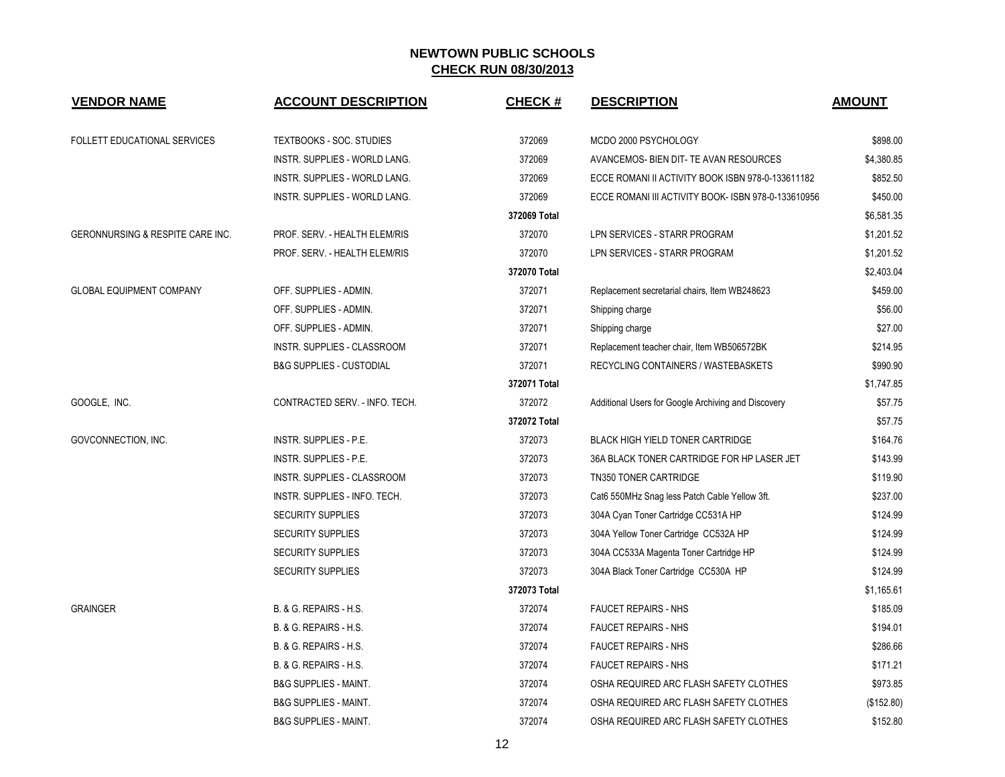| <b>VENDOR NAME</b>                          | <b>ACCOUNT DESCRIPTION</b>          | <b>CHECK#</b> | <b>DESCRIPTION</b>                                  | <b>AMOUNT</b> |
|---------------------------------------------|-------------------------------------|---------------|-----------------------------------------------------|---------------|
| <b>FOLLETT EDUCATIONAL SERVICES</b>         | <b>TEXTBOOKS - SOC. STUDIES</b>     | 372069        | MCDO 2000 PSYCHOLOGY                                | \$898.00      |
|                                             | INSTR. SUPPLIES - WORLD LANG.       | 372069        | AVANCEMOS- BIEN DIT- TE AVAN RESOURCES              | \$4,380.85    |
|                                             | INSTR. SUPPLIES - WORLD LANG.       | 372069        | ECCE ROMANI II ACTIVITY BOOK ISBN 978-0-133611182   | \$852.50      |
|                                             | INSTR. SUPPLIES - WORLD LANG.       | 372069        | ECCE ROMANI III ACTIVITY BOOK- ISBN 978-0-133610956 | \$450.00      |
|                                             |                                     | 372069 Total  |                                                     | \$6,581.35    |
| <b>GERONNURSING &amp; RESPITE CARE INC.</b> | PROF. SERV. - HEALTH ELEM/RIS       | 372070        | LPN SERVICES - STARR PROGRAM                        | \$1,201.52    |
|                                             | PROF. SERV. - HEALTH ELEM/RIS       | 372070        | LPN SERVICES - STARR PROGRAM                        | \$1,201.52    |
|                                             |                                     | 372070 Total  |                                                     | \$2,403.04    |
| <b>GLOBAL EQUIPMENT COMPANY</b>             | OFF. SUPPLIES - ADMIN.              | 372071        | Replacement secretarial chairs, Item WB248623       | \$459.00      |
|                                             | OFF. SUPPLIES - ADMIN.              | 372071        | Shipping charge                                     | \$56.00       |
|                                             | OFF. SUPPLIES - ADMIN.              | 372071        | Shipping charge                                     | \$27.00       |
|                                             | INSTR. SUPPLIES - CLASSROOM         | 372071        | Replacement teacher chair, Item WB506572BK          | \$214.95      |
|                                             | <b>B&amp;G SUPPLIES - CUSTODIAL</b> | 372071        | RECYCLING CONTAINERS / WASTEBASKETS                 | \$990.90      |
|                                             |                                     | 372071 Total  |                                                     | \$1,747.85    |
| GOOGLE, INC.                                | CONTRACTED SERV. - INFO. TECH.      | 372072        | Additional Users for Google Archiving and Discovery | \$57.75       |
|                                             |                                     | 372072 Total  |                                                     | \$57.75       |
| GOVCONNECTION, INC.                         | INSTR. SUPPLIES - P.E.              | 372073        | BLACK HIGH YIELD TONER CARTRIDGE                    | \$164.76      |
|                                             | INSTR. SUPPLIES - P.E.              | 372073        | 36A BLACK TONER CARTRIDGE FOR HP LASER JET          | \$143.99      |
|                                             | INSTR. SUPPLIES - CLASSROOM         | 372073        | TN350 TONER CARTRIDGE                               | \$119.90      |
|                                             | INSTR. SUPPLIES - INFO. TECH.       | 372073        | Cat6 550MHz Snag less Patch Cable Yellow 3ft.       | \$237.00      |
|                                             | <b>SECURITY SUPPLIES</b>            | 372073        | 304A Cyan Toner Cartridge CC531A HP                 | \$124.99      |
|                                             | <b>SECURITY SUPPLIES</b>            | 372073        | 304A Yellow Toner Cartridge CC532A HP               | \$124.99      |
|                                             | <b>SECURITY SUPPLIES</b>            | 372073        | 304A CC533A Magenta Toner Cartridge HP              | \$124.99      |
|                                             | <b>SECURITY SUPPLIES</b>            | 372073        | 304A Black Toner Cartridge CC530A HP                | \$124.99      |
|                                             |                                     | 372073 Total  |                                                     | \$1,165.61    |
| <b>GRAINGER</b>                             | B. & G. REPAIRS - H.S.              | 372074        | <b>FAUCET REPAIRS - NHS</b>                         | \$185.09      |
|                                             | B. & G. REPAIRS - H.S.              | 372074        | <b>FAUCET REPAIRS - NHS</b>                         | \$194.01      |
|                                             | B. & G. REPAIRS - H.S.              | 372074        | <b>FAUCET REPAIRS - NHS</b>                         | \$286.66      |
|                                             | B. & G. REPAIRS - H.S.              | 372074        | <b>FAUCET REPAIRS - NHS</b>                         | \$171.21      |
|                                             | <b>B&amp;G SUPPLIES - MAINT.</b>    | 372074        | OSHA REQUIRED ARC FLASH SAFETY CLOTHES              | \$973.85      |
|                                             | <b>B&amp;G SUPPLIES - MAINT.</b>    | 372074        | OSHA REQUIRED ARC FLASH SAFETY CLOTHES              | (\$152.80)    |
|                                             | <b>B&amp;G SUPPLIES - MAINT.</b>    | 372074        | OSHA REQUIRED ARC FLASH SAFETY CLOTHES              | \$152.80      |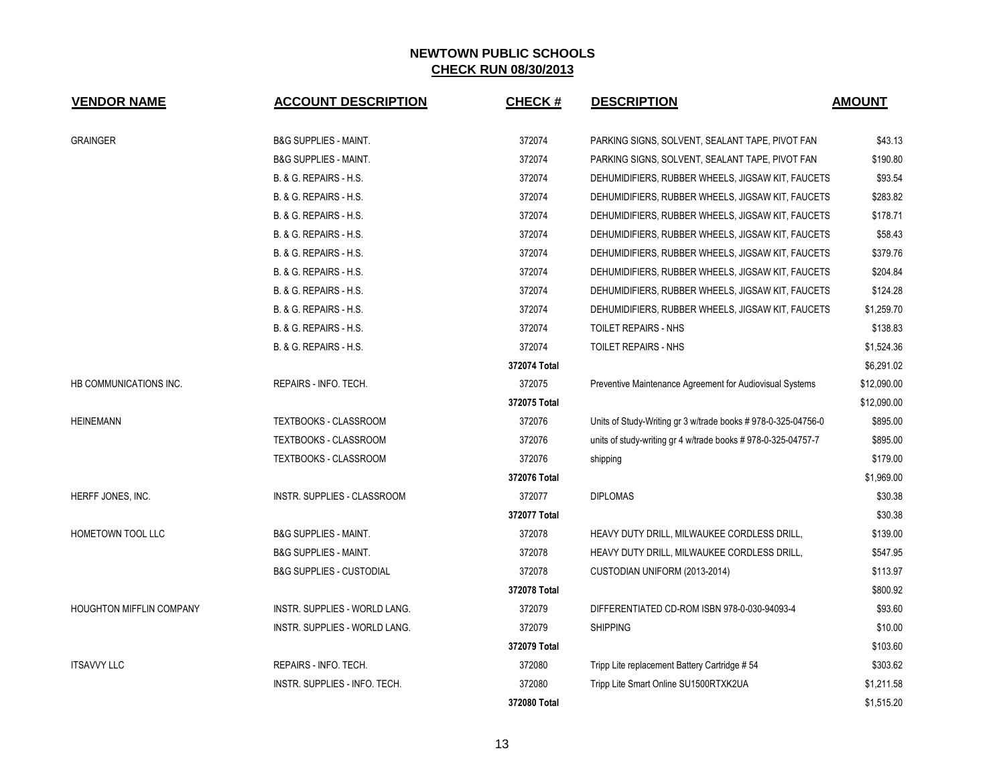| <b>VENDOR NAME</b>              | <b>ACCOUNT DESCRIPTION</b>           | <b>CHECK#</b> | <b>DESCRIPTION</b>                                            | <b>AMOUNT</b> |
|---------------------------------|--------------------------------------|---------------|---------------------------------------------------------------|---------------|
| <b>GRAINGER</b>                 | <b>B&amp;G SUPPLIES - MAINT.</b>     | 372074        | PARKING SIGNS, SOLVENT, SEALANT TAPE, PIVOT FAN               | \$43.13       |
|                                 | <b>B&amp;G SUPPLIES - MAINT.</b>     | 372074        | PARKING SIGNS, SOLVENT, SEALANT TAPE, PIVOT FAN               | \$190.80      |
|                                 | B. & G. REPAIRS - H.S.               | 372074        | DEHUMIDIFIERS, RUBBER WHEELS, JIGSAW KIT, FAUCETS             | \$93.54       |
|                                 | B. & G. REPAIRS - H.S.               | 372074        | DEHUMIDIFIERS, RUBBER WHEELS, JIGSAW KIT, FAUCETS             | \$283.82      |
|                                 | B. & G. REPAIRS - H.S.               | 372074        | DEHUMIDIFIERS, RUBBER WHEELS, JIGSAW KIT, FAUCETS             | \$178.71      |
|                                 | B. & G. REPAIRS - H.S.               | 372074        | DEHUMIDIFIERS, RUBBER WHEELS, JIGSAW KIT, FAUCETS             | \$58.43       |
|                                 | B. & G. REPAIRS - H.S.               | 372074        | DEHUMIDIFIERS, RUBBER WHEELS, JIGSAW KIT, FAUCETS             | \$379.76      |
|                                 | B. & G. REPAIRS - H.S.               | 372074        | DEHUMIDIFIERS, RUBBER WHEELS, JIGSAW KIT, FAUCETS             | \$204.84      |
|                                 | B. & G. REPAIRS - H.S.               | 372074        | DEHUMIDIFIERS, RUBBER WHEELS, JIGSAW KIT, FAUCETS             | \$124.28      |
|                                 | B. & G. REPAIRS - H.S.               | 372074        | DEHUMIDIFIERS, RUBBER WHEELS, JIGSAW KIT, FAUCETS             | \$1,259.70    |
|                                 | B. & G. REPAIRS - H.S.               | 372074        | <b>TOILET REPAIRS - NHS</b>                                   | \$138.83      |
|                                 | B. & G. REPAIRS - H.S.               | 372074        | TOILET REPAIRS - NHS                                          | \$1,524.36    |
|                                 |                                      | 372074 Total  |                                                               | \$6,291.02    |
| HB COMMUNICATIONS INC.          | REPAIRS - INFO. TECH.                | 372075        | Preventive Maintenance Agreement for Audiovisual Systems      | \$12,090.00   |
|                                 |                                      | 372075 Total  |                                                               | \$12,090.00   |
| <b>HEINEMANN</b>                | TEXTBOOKS - CLASSROOM                | 372076        | Units of Study-Writing gr 3 w/trade books #978-0-325-04756-0  | \$895.00      |
|                                 | TEXTBOOKS - CLASSROOM                | 372076        | units of study-writing gr 4 w/trade books # 978-0-325-04757-7 | \$895.00      |
|                                 | TEXTBOOKS - CLASSROOM                | 372076        | shipping                                                      | \$179.00      |
|                                 |                                      | 372076 Total  |                                                               | \$1,969.00    |
| HERFF JONES, INC.               | INSTR. SUPPLIES - CLASSROOM          | 372077        | <b>DIPLOMAS</b>                                               | \$30.38       |
|                                 |                                      | 372077 Total  |                                                               | \$30.38       |
| HOMETOWN TOOL LLC               | <b>B&amp;G SUPPLIES - MAINT.</b>     | 372078        | HEAVY DUTY DRILL, MILWAUKEE CORDLESS DRILL,                   | \$139.00      |
|                                 | <b>B&amp;G SUPPLIES - MAINT.</b>     | 372078        | HEAVY DUTY DRILL, MILWAUKEE CORDLESS DRILL,                   | \$547.95      |
|                                 | <b>B&amp;G SUPPLIES - CUSTODIAL</b>  | 372078        | CUSTODIAN UNIFORM (2013-2014)                                 | \$113.97      |
|                                 |                                      | 372078 Total  |                                                               | \$800.92      |
| <b>HOUGHTON MIFFLIN COMPANY</b> | <b>INSTR. SUPPLIES - WORLD LANG.</b> | 372079        | DIFFERENTIATED CD-ROM ISBN 978-0-030-94093-4                  | \$93.60       |
|                                 | INSTR. SUPPLIES - WORLD LANG.        | 372079        | <b>SHIPPING</b>                                               | \$10.00       |
|                                 |                                      | 372079 Total  |                                                               | \$103.60      |
| <b>ITSAVVY LLC</b>              | REPAIRS - INFO. TECH.                | 372080        | Tripp Lite replacement Battery Cartridge #54                  | \$303.62      |
|                                 | INSTR. SUPPLIES - INFO. TECH.        | 372080        | Tripp Lite Smart Online SU1500RTXK2UA                         | \$1,211.58    |
|                                 |                                      | 372080 Total  |                                                               | \$1,515.20    |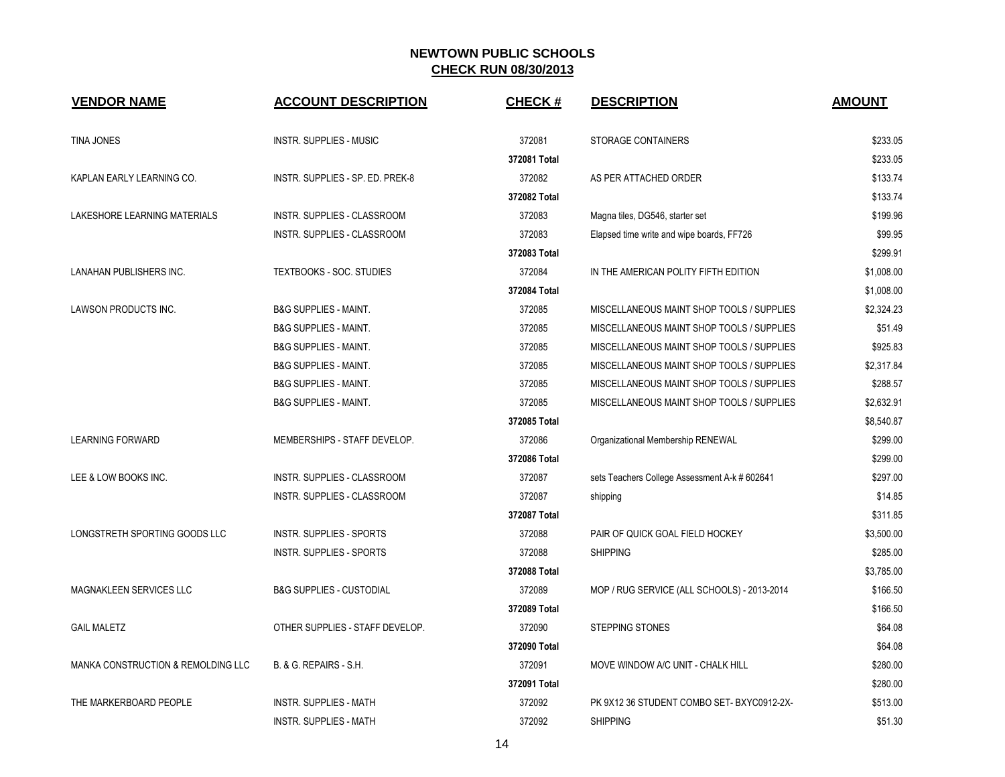| <b>VENDOR NAME</b>                 | <b>ACCOUNT DESCRIPTION</b>          | <b>CHECK#</b> | <b>DESCRIPTION</b>                            | <b>AMOUNT</b> |
|------------------------------------|-------------------------------------|---------------|-----------------------------------------------|---------------|
| TINA JONES                         | <b>INSTR. SUPPLIES - MUSIC</b>      | 372081        | STORAGE CONTAINERS                            | \$233.05      |
|                                    |                                     | 372081 Total  |                                               | \$233.05      |
| KAPLAN EARLY LEARNING CO.          | INSTR. SUPPLIES - SP. ED. PREK-8    | 372082        | AS PER ATTACHED ORDER                         | \$133.74      |
|                                    |                                     | 372082 Total  |                                               | \$133.74      |
| LAKESHORE LEARNING MATERIALS       | INSTR. SUPPLIES - CLASSROOM         | 372083        | Magna tiles, DG546, starter set               | \$199.96      |
|                                    | INSTR. SUPPLIES - CLASSROOM         | 372083        | Elapsed time write and wipe boards, FF726     | \$99.95       |
|                                    |                                     | 372083 Total  |                                               | \$299.91      |
| LANAHAN PUBLISHERS INC.            | TEXTBOOKS - SOC. STUDIES            | 372084        | IN THE AMERICAN POLITY FIFTH EDITION          | \$1,008.00    |
|                                    |                                     | 372084 Total  |                                               | \$1,008.00    |
| LAWSON PRODUCTS INC.               | <b>B&amp;G SUPPLIES - MAINT.</b>    | 372085        | MISCELLANEOUS MAINT SHOP TOOLS / SUPPLIES     | \$2,324.23    |
|                                    | <b>B&amp;G SUPPLIES - MAINT.</b>    | 372085        | MISCELLANEOUS MAINT SHOP TOOLS / SUPPLIES     | \$51.49       |
|                                    | <b>B&amp;G SUPPLIES - MAINT.</b>    | 372085        | MISCELLANEOUS MAINT SHOP TOOLS / SUPPLIES     | \$925.83      |
|                                    | <b>B&amp;G SUPPLIES - MAINT.</b>    | 372085        | MISCELLANEOUS MAINT SHOP TOOLS / SUPPLIES     | \$2,317.84    |
|                                    | <b>B&amp;G SUPPLIES - MAINT.</b>    | 372085        | MISCELLANEOUS MAINT SHOP TOOLS / SUPPLIES     | \$288.57      |
|                                    | <b>B&amp;G SUPPLIES - MAINT.</b>    | 372085        | MISCELLANEOUS MAINT SHOP TOOLS / SUPPLIES     | \$2,632.91    |
|                                    |                                     | 372085 Total  |                                               | \$8,540.87    |
| <b>LEARNING FORWARD</b>            | MEMBERSHIPS - STAFF DEVELOP.        | 372086        | Organizational Membership RENEWAL             | \$299.00      |
|                                    |                                     | 372086 Total  |                                               | \$299.00      |
| LEE & LOW BOOKS INC.               | INSTR. SUPPLIES - CLASSROOM         | 372087        | sets Teachers College Assessment A-k # 602641 | \$297.00      |
|                                    | INSTR. SUPPLIES - CLASSROOM         | 372087        | shipping                                      | \$14.85       |
|                                    |                                     | 372087 Total  |                                               | \$311.85      |
| LONGSTRETH SPORTING GOODS LLC      | <b>INSTR. SUPPLIES - SPORTS</b>     | 372088        | PAIR OF QUICK GOAL FIELD HOCKEY               | \$3,500.00    |
|                                    | <b>INSTR. SUPPLIES - SPORTS</b>     | 372088        | <b>SHIPPING</b>                               | \$285.00      |
|                                    |                                     | 372088 Total  |                                               | \$3,785.00    |
| <b>MAGNAKLEEN SERVICES LLC</b>     | <b>B&amp;G SUPPLIES - CUSTODIAL</b> | 372089        | MOP / RUG SERVICE (ALL SCHOOLS) - 2013-2014   | \$166.50      |
|                                    |                                     | 372089 Total  |                                               | \$166.50      |
| <b>GAIL MALETZ</b>                 | OTHER SUPPLIES - STAFF DEVELOP.     | 372090        | STEPPING STONES                               | \$64.08       |
|                                    |                                     | 372090 Total  |                                               | \$64.08       |
| MANKA CONSTRUCTION & REMOLDING LLC | B. & G. REPAIRS - S.H.              | 372091        | MOVE WINDOW A/C UNIT - CHALK HILL             | \$280.00      |
|                                    |                                     | 372091 Total  |                                               | \$280.00      |
| THE MARKERBOARD PEOPLE             | <b>INSTR. SUPPLIES - MATH</b>       | 372092        | PK 9X12 36 STUDENT COMBO SET-BXYC0912-2X-     | \$513.00      |
|                                    | <b>INSTR. SUPPLIES - MATH</b>       | 372092        | <b>SHIPPING</b>                               | \$51.30       |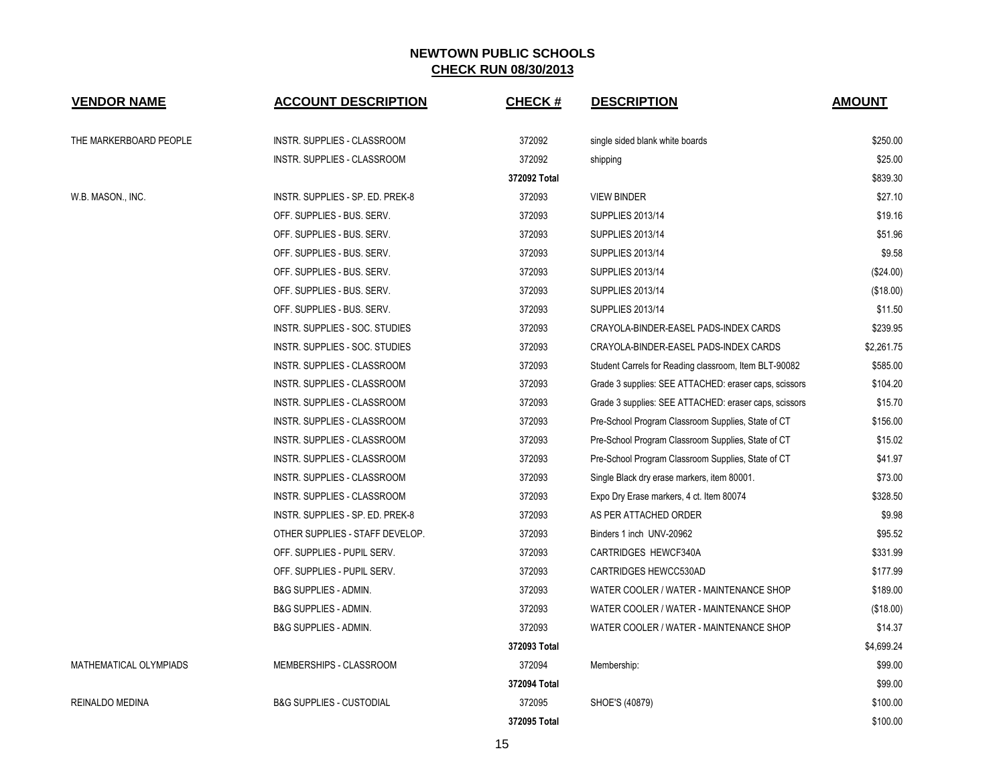| <b>VENDOR NAME</b>     | <b>ACCOUNT DESCRIPTION</b>          | <b>CHECK#</b> | <b>DESCRIPTION</b>                                    | <b>AMOUNT</b> |
|------------------------|-------------------------------------|---------------|-------------------------------------------------------|---------------|
| THE MARKERBOARD PEOPLE | INSTR. SUPPLIES - CLASSROOM         | 372092        | single sided blank white boards                       | \$250.00      |
|                        | INSTR. SUPPLIES - CLASSROOM         | 372092        | shipping                                              | \$25.00       |
|                        |                                     | 372092 Total  |                                                       | \$839.30      |
| W.B. MASON., INC.      | INSTR. SUPPLIES - SP. ED. PREK-8    | 372093        | <b>VIEW BINDER</b>                                    | \$27.10       |
|                        | OFF. SUPPLIES - BUS. SERV.          | 372093        | <b>SUPPLIES 2013/14</b>                               | \$19.16       |
|                        | OFF. SUPPLIES - BUS. SERV.          | 372093        | <b>SUPPLIES 2013/14</b>                               | \$51.96       |
|                        | OFF. SUPPLIES - BUS. SERV.          | 372093        | <b>SUPPLIES 2013/14</b>                               | \$9.58        |
|                        | OFF. SUPPLIES - BUS. SERV.          | 372093        | <b>SUPPLIES 2013/14</b>                               | (\$24.00)     |
|                        | OFF. SUPPLIES - BUS. SERV.          | 372093        | SUPPLIES 2013/14                                      | (\$18.00)     |
|                        | OFF. SUPPLIES - BUS. SERV.          | 372093        | <b>SUPPLIES 2013/14</b>                               | \$11.50       |
|                        | INSTR. SUPPLIES - SOC. STUDIES      | 372093        | CRAYOLA-BINDER-EASEL PADS-INDEX CARDS                 | \$239.95      |
|                        | INSTR. SUPPLIES - SOC. STUDIES      | 372093        | CRAYOLA-BINDER-EASEL PADS-INDEX CARDS                 | \$2,261.75    |
|                        | INSTR. SUPPLIES - CLASSROOM         | 372093        | Student Carrels for Reading classroom, Item BLT-90082 | \$585.00      |
|                        | INSTR. SUPPLIES - CLASSROOM         | 372093        | Grade 3 supplies: SEE ATTACHED: eraser caps, scissors | \$104.20      |
|                        | <b>INSTR. SUPPLIES - CLASSROOM</b>  | 372093        | Grade 3 supplies: SEE ATTACHED: eraser caps, scissors | \$15.70       |
|                        | INSTR. SUPPLIES - CLASSROOM         | 372093        | Pre-School Program Classroom Supplies, State of CT    | \$156.00      |
|                        | INSTR. SUPPLIES - CLASSROOM         | 372093        | Pre-School Program Classroom Supplies, State of CT    | \$15.02       |
|                        | INSTR. SUPPLIES - CLASSROOM         | 372093        | Pre-School Program Classroom Supplies, State of CT    | \$41.97       |
|                        | INSTR. SUPPLIES - CLASSROOM         | 372093        | Single Black dry erase markers, item 80001.           | \$73.00       |
|                        | INSTR. SUPPLIES - CLASSROOM         | 372093        | Expo Dry Erase markers, 4 ct. Item 80074              | \$328.50      |
|                        | INSTR. SUPPLIES - SP. ED. PREK-8    | 372093        | AS PER ATTACHED ORDER                                 | \$9.98        |
|                        | OTHER SUPPLIES - STAFF DEVELOP.     | 372093        | Binders 1 inch UNV-20962                              | \$95.52       |
|                        | OFF. SUPPLIES - PUPIL SERV.         | 372093        | CARTRIDGES HEWCF340A                                  | \$331.99      |
|                        | OFF. SUPPLIES - PUPIL SERV.         | 372093        | CARTRIDGES HEWCC530AD                                 | \$177.99      |
|                        | <b>B&amp;G SUPPLIES - ADMIN.</b>    | 372093        | WATER COOLER / WATER - MAINTENANCE SHOP               | \$189.00      |
|                        | <b>B&amp;G SUPPLIES - ADMIN.</b>    | 372093        | WATER COOLER / WATER - MAINTENANCE SHOP               | (\$18.00)     |
|                        | <b>B&amp;G SUPPLIES - ADMIN.</b>    | 372093        | WATER COOLER / WATER - MAINTENANCE SHOP               | \$14.37       |
|                        |                                     | 372093 Total  |                                                       | \$4,699.24    |
| MATHEMATICAL OLYMPIADS | MEMBERSHIPS - CLASSROOM             | 372094        | Membership:                                           | \$99.00       |
|                        |                                     | 372094 Total  |                                                       | \$99.00       |
| REINALDO MEDINA        | <b>B&amp;G SUPPLIES - CUSTODIAL</b> | 372095        | SHOE'S (40879)                                        | \$100.00      |
|                        |                                     | 372095 Total  |                                                       | \$100.00      |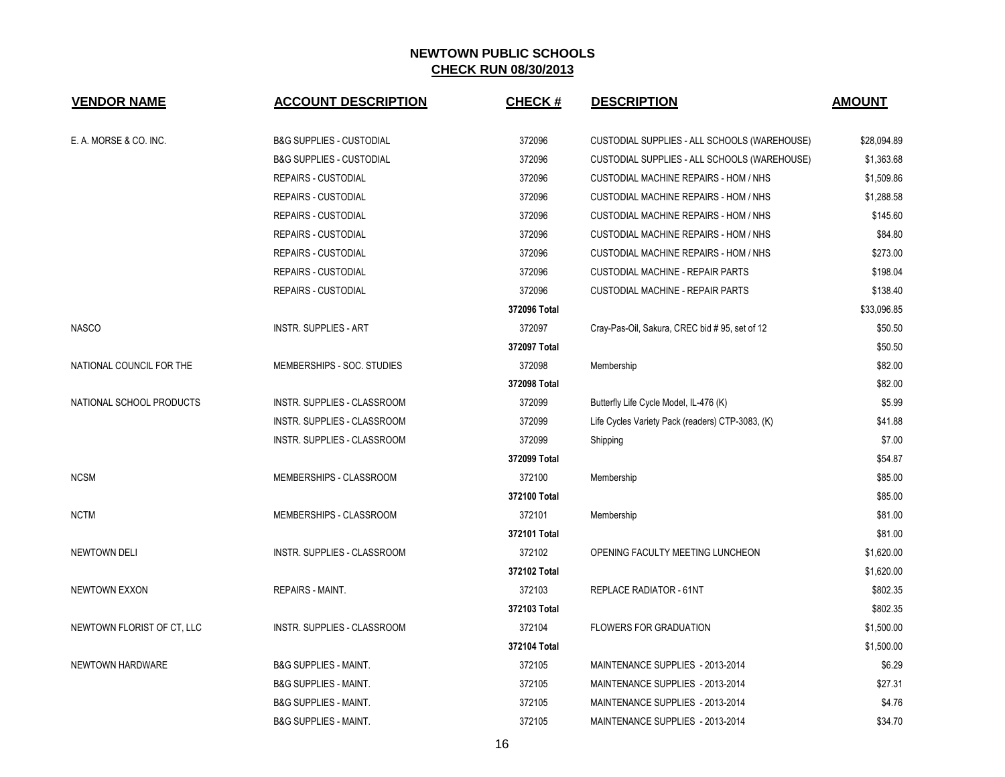| <b>VENDOR NAME</b>         | <b>ACCOUNT DESCRIPTION</b>          | <b>CHECK#</b> | <b>DESCRIPTION</b>                               | <b>AMOUNT</b> |
|----------------------------|-------------------------------------|---------------|--------------------------------------------------|---------------|
| E. A. MORSE & CO. INC.     | <b>B&amp;G SUPPLIES - CUSTODIAL</b> | 372096        | CUSTODIAL SUPPLIES - ALL SCHOOLS (WAREHOUSE)     | \$28,094.89   |
|                            | <b>B&amp;G SUPPLIES - CUSTODIAL</b> | 372096        | CUSTODIAL SUPPLIES - ALL SCHOOLS (WAREHOUSE)     | \$1,363.68    |
|                            | <b>REPAIRS - CUSTODIAL</b>          | 372096        | CUSTODIAL MACHINE REPAIRS - HOM / NHS            | \$1,509.86    |
|                            | <b>REPAIRS - CUSTODIAL</b>          | 372096        | CUSTODIAL MACHINE REPAIRS - HOM / NHS            | \$1,288.58    |
|                            | REPAIRS - CUSTODIAL                 | 372096        | CUSTODIAL MACHINE REPAIRS - HOM / NHS            | \$145.60      |
|                            | <b>REPAIRS - CUSTODIAL</b>          | 372096        | CUSTODIAL MACHINE REPAIRS - HOM / NHS            | \$84.80       |
|                            | <b>REPAIRS - CUSTODIAL</b>          | 372096        | <b>CUSTODIAL MACHINE REPAIRS - HOM / NHS</b>     | \$273.00      |
|                            | <b>REPAIRS - CUSTODIAL</b>          | 372096        | <b>CUSTODIAL MACHINE - REPAIR PARTS</b>          | \$198.04      |
|                            | <b>REPAIRS - CUSTODIAL</b>          | 372096        | CUSTODIAL MACHINE - REPAIR PARTS                 | \$138.40      |
|                            |                                     | 372096 Total  |                                                  | \$33,096.85   |
| <b>NASCO</b>               | <b>INSTR. SUPPLIES - ART</b>        | 372097        | Cray-Pas-Oil, Sakura, CREC bid # 95, set of 12   | \$50.50       |
|                            |                                     | 372097 Total  |                                                  | \$50.50       |
| NATIONAL COUNCIL FOR THE   | MEMBERSHIPS - SOC. STUDIES          | 372098        | Membership                                       | \$82.00       |
|                            |                                     | 372098 Total  |                                                  | \$82.00       |
| NATIONAL SCHOOL PRODUCTS   | <b>INSTR. SUPPLIES - CLASSROOM</b>  | 372099        | Butterfly Life Cycle Model, IL-476 (K)           | \$5.99        |
|                            | <b>INSTR. SUPPLIES - CLASSROOM</b>  | 372099        | Life Cycles Variety Pack (readers) CTP-3083, (K) | \$41.88       |
|                            | INSTR. SUPPLIES - CLASSROOM         | 372099        | Shipping                                         | \$7.00        |
|                            |                                     | 372099 Total  |                                                  | \$54.87       |
| <b>NCSM</b>                | MEMBERSHIPS - CLASSROOM             | 372100        | Membership                                       | \$85.00       |
|                            |                                     | 372100 Total  |                                                  | \$85.00       |
| <b>NCTM</b>                | MEMBERSHIPS - CLASSROOM             | 372101        | Membership                                       | \$81.00       |
|                            |                                     | 372101 Total  |                                                  | \$81.00       |
| <b>NEWTOWN DELI</b>        | INSTR. SUPPLIES - CLASSROOM         | 372102        | OPENING FACULTY MEETING LUNCHEON                 | \$1,620.00    |
|                            |                                     | 372102 Total  |                                                  | \$1,620.00    |
| <b>NEWTOWN EXXON</b>       | <b>REPAIRS - MAINT.</b>             | 372103        | REPLACE RADIATOR - 61NT                          | \$802.35      |
|                            |                                     | 372103 Total  |                                                  | \$802.35      |
| NEWTOWN FLORIST OF CT, LLC | INSTR. SUPPLIES - CLASSROOM         | 372104        | <b>FLOWERS FOR GRADUATION</b>                    | \$1,500.00    |
|                            |                                     | 372104 Total  |                                                  | \$1,500.00    |
| NEWTOWN HARDWARE           | <b>B&amp;G SUPPLIES - MAINT.</b>    | 372105        | MAINTENANCE SUPPLIES - 2013-2014                 | \$6.29        |
|                            | <b>B&amp;G SUPPLIES - MAINT.</b>    | 372105        | MAINTENANCE SUPPLIES - 2013-2014                 | \$27.31       |
|                            | <b>B&amp;G SUPPLIES - MAINT.</b>    | 372105        | MAINTENANCE SUPPLIES - 2013-2014                 | \$4.76        |
|                            | <b>B&amp;G SUPPLIES - MAINT.</b>    | 372105        | MAINTENANCE SUPPLIES - 2013-2014                 | \$34.70       |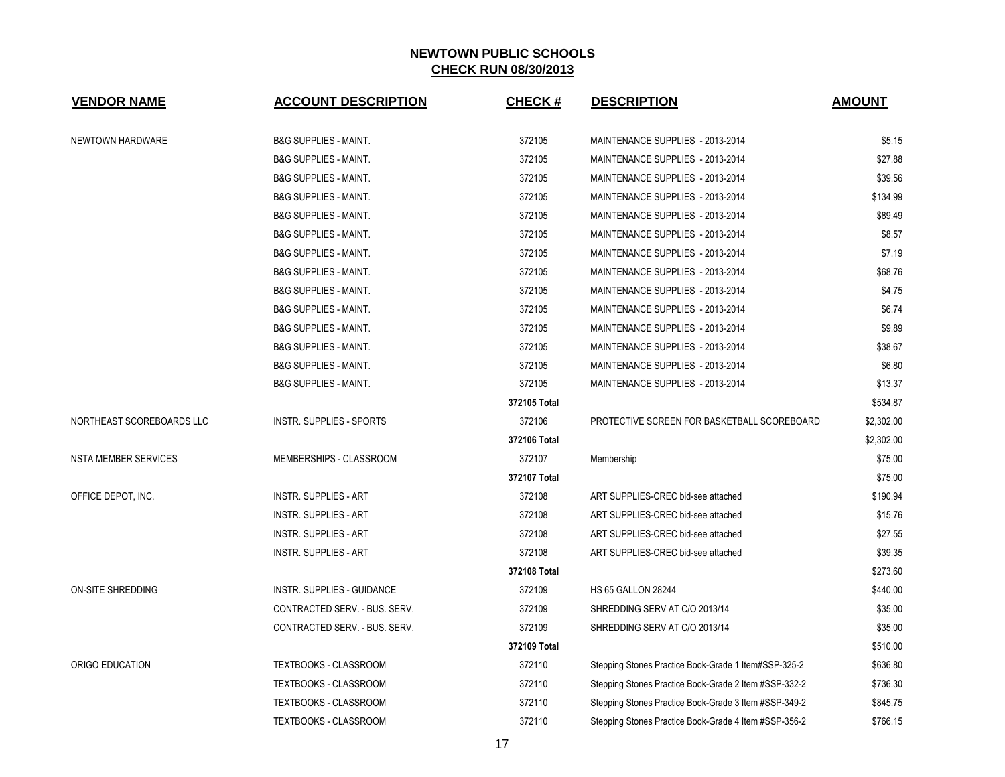| <b>VENDOR NAME</b>        | <b>ACCOUNT DESCRIPTION</b>       | <b>CHECK#</b> | <b>DESCRIPTION</b>                                    | <b>AMOUNT</b> |
|---------------------------|----------------------------------|---------------|-------------------------------------------------------|---------------|
| NEWTOWN HARDWARE          | <b>B&amp;G SUPPLIES - MAINT.</b> | 372105        | MAINTENANCE SUPPLIES - 2013-2014                      | \$5.15        |
|                           | <b>B&amp;G SUPPLIES - MAINT.</b> | 372105        | MAINTENANCE SUPPLIES - 2013-2014                      | \$27.88       |
|                           | <b>B&amp;G SUPPLIES - MAINT.</b> | 372105        | MAINTENANCE SUPPLIES - 2013-2014                      | \$39.56       |
|                           | <b>B&amp;G SUPPLIES - MAINT.</b> | 372105        | MAINTENANCE SUPPLIES - 2013-2014                      | \$134.99      |
|                           | <b>B&amp;G SUPPLIES - MAINT.</b> | 372105        | MAINTENANCE SUPPLIES - 2013-2014                      | \$89.49       |
|                           | <b>B&amp;G SUPPLIES - MAINT.</b> | 372105        | MAINTENANCE SUPPLIES - 2013-2014                      | \$8.57        |
|                           | <b>B&amp;G SUPPLIES - MAINT.</b> | 372105        | MAINTENANCE SUPPLIES - 2013-2014                      | \$7.19        |
|                           | <b>B&amp;G SUPPLIES - MAINT.</b> | 372105        | MAINTENANCE SUPPLIES - 2013-2014                      | \$68.76       |
|                           | <b>B&amp;G SUPPLIES - MAINT.</b> | 372105        | MAINTENANCE SUPPLIES - 2013-2014                      | \$4.75        |
|                           | <b>B&amp;G SUPPLIES - MAINT.</b> | 372105        | MAINTENANCE SUPPLIES - 2013-2014                      | \$6.74        |
|                           | <b>B&amp;G SUPPLIES - MAINT.</b> | 372105        | MAINTENANCE SUPPLIES - 2013-2014                      | \$9.89        |
|                           | <b>B&amp;G SUPPLIES - MAINT.</b> | 372105        | MAINTENANCE SUPPLIES - 2013-2014                      | \$38.67       |
|                           | <b>B&amp;G SUPPLIES - MAINT.</b> | 372105        | MAINTENANCE SUPPLIES - 2013-2014                      | \$6.80        |
|                           | <b>B&amp;G SUPPLIES - MAINT.</b> | 372105        | MAINTENANCE SUPPLIES - 2013-2014                      | \$13.37       |
|                           |                                  | 372105 Total  |                                                       | \$534.87      |
| NORTHEAST SCOREBOARDS LLC | <b>INSTR. SUPPLIES - SPORTS</b>  | 372106        | PROTECTIVE SCREEN FOR BASKETBALL SCOREBOARD           | \$2,302.00    |
|                           |                                  | 372106 Total  |                                                       | \$2,302.00    |
| NSTA MEMBER SERVICES      | MEMBERSHIPS - CLASSROOM          | 372107        | Membership                                            | \$75.00       |
|                           |                                  | 372107 Total  |                                                       | \$75.00       |
| OFFICE DEPOT, INC.        | <b>INSTR. SUPPLIES - ART</b>     | 372108        | ART SUPPLIES-CREC bid-see attached                    | \$190.94      |
|                           | <b>INSTR. SUPPLIES - ART</b>     | 372108        | ART SUPPLIES-CREC bid-see attached                    | \$15.76       |
|                           | <b>INSTR. SUPPLIES - ART</b>     | 372108        | ART SUPPLIES-CREC bid-see attached                    | \$27.55       |
|                           | <b>INSTR. SUPPLIES - ART</b>     | 372108        | ART SUPPLIES-CREC bid-see attached                    | \$39.35       |
|                           |                                  | 372108 Total  |                                                       | \$273.60      |
| <b>ON-SITE SHREDDING</b>  | INSTR. SUPPLIES - GUIDANCE       | 372109        | <b>HS 65 GALLON 28244</b>                             | \$440.00      |
|                           | CONTRACTED SERV. - BUS. SERV.    | 372109        | SHREDDING SERV AT C/O 2013/14                         | \$35.00       |
|                           | CONTRACTED SERV. - BUS. SERV.    | 372109        | SHREDDING SERV AT C/O 2013/14                         | \$35.00       |
|                           |                                  | 372109 Total  |                                                       | \$510.00      |
| ORIGO EDUCATION           | TEXTBOOKS - CLASSROOM            | 372110        | Stepping Stones Practice Book-Grade 1 Item#SSP-325-2  | \$636.80      |
|                           | <b>TEXTBOOKS - CLASSROOM</b>     | 372110        | Stepping Stones Practice Book-Grade 2 Item #SSP-332-2 | \$736.30      |
|                           | <b>TEXTBOOKS - CLASSROOM</b>     | 372110        | Stepping Stones Practice Book-Grade 3 Item #SSP-349-2 | \$845.75      |
|                           | <b>TEXTBOOKS - CLASSROOM</b>     | 372110        | Stepping Stones Practice Book-Grade 4 Item #SSP-356-2 | \$766.15      |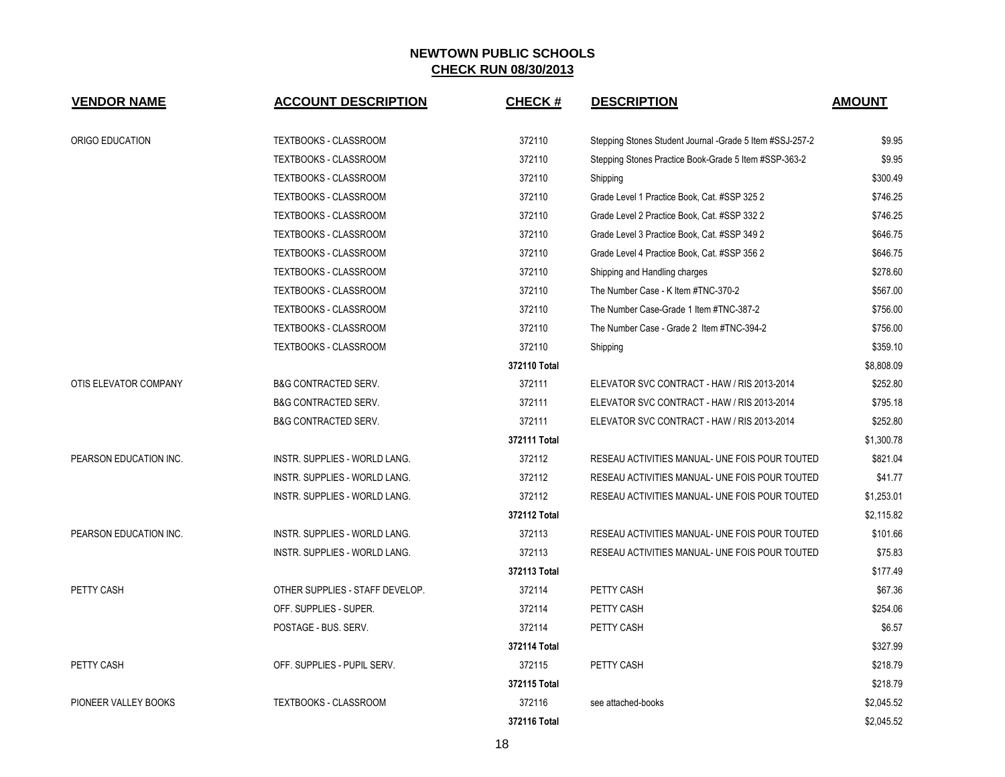| <b>VENDOR NAME</b>     | <b>ACCOUNT DESCRIPTION</b>      | <b>CHECK#</b> | <b>DESCRIPTION</b>                                       | <b>AMOUNT</b> |
|------------------------|---------------------------------|---------------|----------------------------------------------------------|---------------|
| ORIGO EDUCATION        | TEXTBOOKS - CLASSROOM           | 372110        | Stepping Stones Student Journal -Grade 5 Item #SSJ-257-2 | \$9.95        |
|                        | TEXTBOOKS - CLASSROOM           | 372110        | Stepping Stones Practice Book-Grade 5 Item #SSP-363-2    | \$9.95        |
|                        | TEXTBOOKS - CLASSROOM           | 372110        | Shipping                                                 | \$300.49      |
|                        | TEXTBOOKS - CLASSROOM           | 372110        | Grade Level 1 Practice Book, Cat. #SSP 325 2             | \$746.25      |
|                        | TEXTBOOKS - CLASSROOM           | 372110        | Grade Level 2 Practice Book, Cat. #SSP 332 2             | \$746.25      |
|                        | TEXTBOOKS - CLASSROOM           | 372110        | Grade Level 3 Practice Book, Cat. #SSP 349 2             | \$646.75      |
|                        | TEXTBOOKS - CLASSROOM           | 372110        | Grade Level 4 Practice Book, Cat. #SSP 356 2             | \$646.75      |
|                        | <b>TEXTBOOKS - CLASSROOM</b>    | 372110        | Shipping and Handling charges                            | \$278.60      |
|                        | <b>TEXTBOOKS - CLASSROOM</b>    | 372110        | The Number Case - K Item #TNC-370-2                      | \$567.00      |
|                        | <b>TEXTBOOKS - CLASSROOM</b>    | 372110        | The Number Case-Grade 1 Item #TNC-387-2                  | \$756.00      |
|                        | TEXTBOOKS - CLASSROOM           | 372110        | The Number Case - Grade 2 Item #TNC-394-2                | \$756.00      |
|                        | TEXTBOOKS - CLASSROOM           | 372110        | Shipping                                                 | \$359.10      |
|                        |                                 | 372110 Total  |                                                          | \$8,808.09    |
| OTIS ELEVATOR COMPANY  | B&G CONTRACTED SERV.            | 372111        | ELEVATOR SVC CONTRACT - HAW / RIS 2013-2014              | \$252.80      |
|                        | <b>B&amp;G CONTRACTED SERV.</b> | 372111        | ELEVATOR SVC CONTRACT - HAW / RIS 2013-2014              | \$795.18      |
|                        | <b>B&amp;G CONTRACTED SERV.</b> | 372111        | ELEVATOR SVC CONTRACT - HAW / RIS 2013-2014              | \$252.80      |
|                        |                                 | 372111 Total  |                                                          | \$1,300.78    |
| PEARSON EDUCATION INC. | INSTR. SUPPLIES - WORLD LANG.   | 372112        | RESEAU ACTIVITIES MANUAL- UNE FOIS POUR TOUTED           | \$821.04      |
|                        | INSTR. SUPPLIES - WORLD LANG.   | 372112        | RESEAU ACTIVITIES MANUAL- UNE FOIS POUR TOUTED           | \$41.77       |
|                        | INSTR. SUPPLIES - WORLD LANG.   | 372112        | RESEAU ACTIVITIES MANUAL- UNE FOIS POUR TOUTED           | \$1,253.01    |
|                        |                                 | 372112 Total  |                                                          | \$2,115.82    |
| PEARSON EDUCATION INC. | INSTR. SUPPLIES - WORLD LANG.   | 372113        | RESEAU ACTIVITIES MANUAL- UNE FOIS POUR TOUTED           | \$101.66      |
|                        | INSTR. SUPPLIES - WORLD LANG.   | 372113        | RESEAU ACTIVITIES MANUAL- UNE FOIS POUR TOUTED           | \$75.83       |
|                        |                                 | 372113 Total  |                                                          | \$177.49      |
| PETTY CASH             | OTHER SUPPLIES - STAFF DEVELOP. | 372114        | PETTY CASH                                               | \$67.36       |
|                        | OFF. SUPPLIES - SUPER.          | 372114        | PETTY CASH                                               | \$254.06      |
|                        | POSTAGE - BUS, SERV.            | 372114        | PETTY CASH                                               | \$6.57        |
|                        |                                 | 372114 Total  |                                                          | \$327.99      |
| PETTY CASH             | OFF. SUPPLIES - PUPIL SERV.     | 372115        | PETTY CASH                                               | \$218.79      |
|                        |                                 | 372115 Total  |                                                          | \$218.79      |
| PIONEER VALLEY BOOKS   | <b>TEXTBOOKS - CLASSROOM</b>    | 372116        | see attached-books                                       | \$2,045.52    |
|                        |                                 | 372116 Total  |                                                          | \$2.045.52    |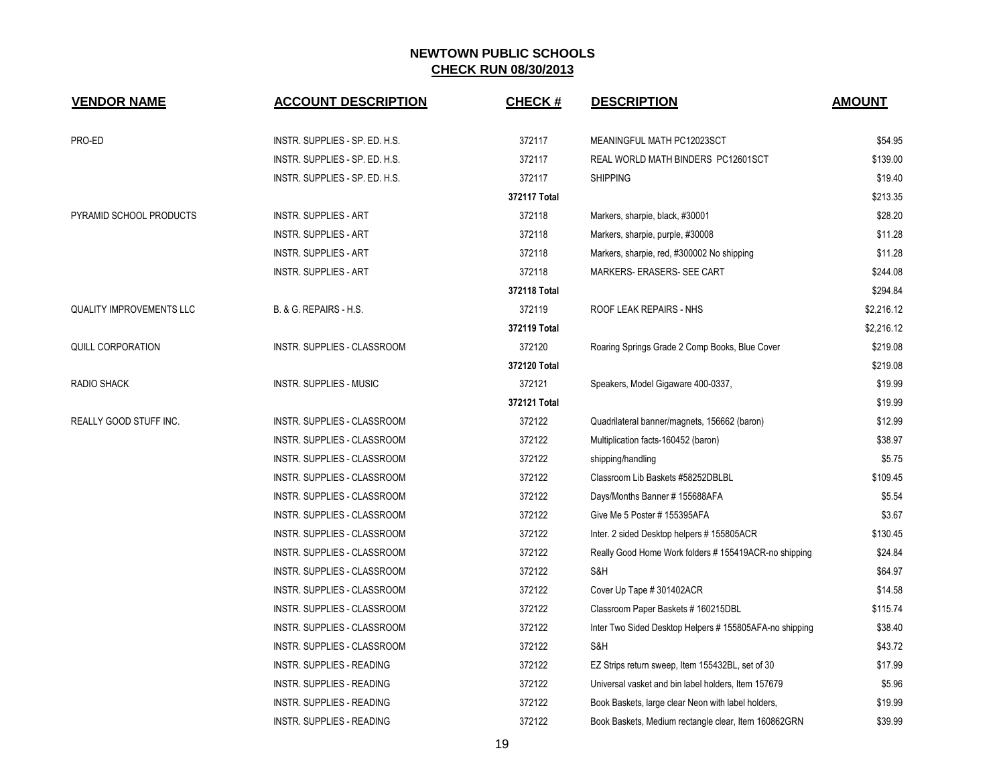| <b>VENDOR NAME</b>              | <b>ACCOUNT DESCRIPTION</b>       | <b>CHECK#</b> | <b>DESCRIPTION</b>                                      | <b>AMOUNT</b> |
|---------------------------------|----------------------------------|---------------|---------------------------------------------------------|---------------|
| PRO-ED                          | INSTR. SUPPLIES - SP. ED. H.S.   | 372117        | MEANINGFUL MATH PC12023SCT                              | \$54.95       |
|                                 | INSTR. SUPPLIES - SP. ED. H.S.   | 372117        | REAL WORLD MATH BINDERS PC12601SCT                      | \$139.00      |
|                                 | INSTR. SUPPLIES - SP. ED. H.S.   | 372117        | <b>SHIPPING</b>                                         | \$19.40       |
|                                 |                                  | 372117 Total  |                                                         | \$213.35      |
| PYRAMID SCHOOL PRODUCTS         | INSTR. SUPPLIES - ART            | 372118        | Markers, sharpie, black, #30001                         | \$28.20       |
|                                 | <b>INSTR. SUPPLIES - ART</b>     | 372118        | Markers, sharpie, purple, #30008                        | \$11.28       |
|                                 | <b>INSTR. SUPPLIES - ART</b>     | 372118        | Markers, sharpie, red, #300002 No shipping              | \$11.28       |
|                                 | <b>INSTR. SUPPLIES - ART</b>     | 372118        | MARKERS- ERASERS- SEE CART                              | \$244.08      |
|                                 |                                  | 372118 Total  |                                                         | \$294.84      |
| <b>QUALITY IMPROVEMENTS LLC</b> | B. & G. REPAIRS - H.S.           | 372119        | ROOF LEAK REPAIRS - NHS                                 | \$2,216.12    |
|                                 |                                  | 372119 Total  |                                                         | \$2,216.12    |
| <b>QUILL CORPORATION</b>        | INSTR. SUPPLIES - CLASSROOM      | 372120        | Roaring Springs Grade 2 Comp Books, Blue Cover          | \$219.08      |
|                                 |                                  | 372120 Total  |                                                         | \$219.08      |
| <b>RADIO SHACK</b>              | <b>INSTR. SUPPLIES - MUSIC</b>   | 372121        | Speakers, Model Gigaware 400-0337,                      | \$19.99       |
|                                 |                                  | 372121 Total  |                                                         | \$19.99       |
| REALLY GOOD STUFF INC.          | INSTR. SUPPLIES - CLASSROOM      | 372122        | Quadrilateral banner/magnets, 156662 (baron)            | \$12.99       |
|                                 | INSTR. SUPPLIES - CLASSROOM      | 372122        | Multiplication facts-160452 (baron)                     | \$38.97       |
|                                 | INSTR. SUPPLIES - CLASSROOM      | 372122        | shipping/handling                                       | \$5.75        |
|                                 | INSTR. SUPPLIES - CLASSROOM      | 372122        | Classroom Lib Baskets #58252DBLBL                       | \$109.45      |
|                                 | INSTR. SUPPLIES - CLASSROOM      | 372122        | Days/Months Banner # 155688AFA                          | \$5.54        |
|                                 | INSTR. SUPPLIES - CLASSROOM      | 372122        | Give Me 5 Poster # 155395AFA                            | \$3.67        |
|                                 | INSTR. SUPPLIES - CLASSROOM      | 372122        | Inter. 2 sided Desktop helpers # 155805ACR              | \$130.45      |
|                                 | INSTR. SUPPLIES - CLASSROOM      | 372122        | Really Good Home Work folders # 155419ACR-no shipping   | \$24.84       |
|                                 | INSTR. SUPPLIES - CLASSROOM      | 372122        | S&H                                                     | \$64.97       |
|                                 | INSTR. SUPPLIES - CLASSROOM      | 372122        | Cover Up Tape # 301402ACR                               | \$14.58       |
|                                 | INSTR. SUPPLIES - CLASSROOM      | 372122        | Classroom Paper Baskets # 160215DBL                     | \$115.74      |
|                                 | INSTR. SUPPLIES - CLASSROOM      | 372122        | Inter Two Sided Desktop Helpers # 155805AFA-no shipping | \$38.40       |
|                                 | INSTR. SUPPLIES - CLASSROOM      | 372122        | S&H                                                     | \$43.72       |
|                                 | INSTR. SUPPLIES - READING        | 372122        | EZ Strips return sweep, Item 155432BL, set of 30        | \$17.99       |
|                                 | <b>INSTR. SUPPLIES - READING</b> | 372122        | Universal vasket and bin label holders, Item 157679     | \$5.96        |
|                                 | <b>INSTR. SUPPLIES - READING</b> | 372122        | Book Baskets, large clear Neon with label holders,      | \$19.99       |
|                                 | <b>INSTR. SUPPLIES - READING</b> | 372122        | Book Baskets, Medium rectangle clear, Item 160862GRN    | \$39.99       |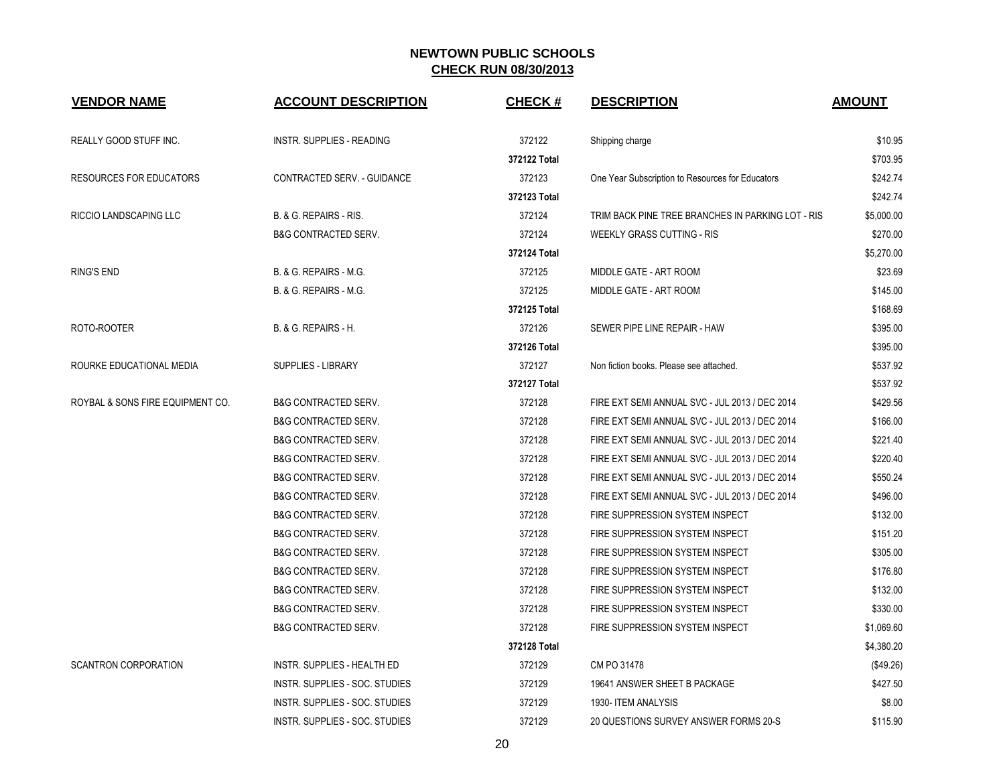| <b>VENDOR NAME</b>               | <b>ACCOUNT DESCRIPTION</b>      | <b>CHECK#</b> | <b>DESCRIPTION</b>                                | <b>AMOUNT</b> |
|----------------------------------|---------------------------------|---------------|---------------------------------------------------|---------------|
| REALLY GOOD STUFF INC.           | INSTR. SUPPLIES - READING       | 372122        | Shipping charge                                   | \$10.95       |
|                                  |                                 | 372122 Total  |                                                   | \$703.95      |
| <b>RESOURCES FOR EDUCATORS</b>   | CONTRACTED SERV. - GUIDANCE     | 372123        | One Year Subscription to Resources for Educators  | \$242.74      |
|                                  |                                 | 372123 Total  |                                                   | \$242.74      |
| RICCIO LANDSCAPING LLC           | B. & G. REPAIRS - RIS.          | 372124        | TRIM BACK PINE TREE BRANCHES IN PARKING LOT - RIS | \$5,000.00    |
|                                  | <b>B&amp;G CONTRACTED SERV.</b> | 372124        | <b>WEEKLY GRASS CUTTING - RIS</b>                 | \$270.00      |
|                                  |                                 | 372124 Total  |                                                   | \$5,270.00    |
| <b>RING'S END</b>                | B. & G. REPAIRS - M.G.          | 372125        | MIDDLE GATE - ART ROOM                            | \$23.69       |
|                                  | B. & G. REPAIRS - M.G.          | 372125        | MIDDLE GATE - ART ROOM                            | \$145.00      |
|                                  |                                 | 372125 Total  |                                                   | \$168.69      |
| ROTO-ROOTER                      | B. & G. REPAIRS - H.            | 372126        | SEWER PIPE LINE REPAIR - HAW                      | \$395.00      |
|                                  |                                 | 372126 Total  |                                                   | \$395.00      |
| ROURKE EDUCATIONAL MEDIA         | <b>SUPPLIES - LIBRARY</b>       | 372127        | Non fiction books. Please see attached.           | \$537.92      |
|                                  |                                 | 372127 Total  |                                                   | \$537.92      |
| ROYBAL & SONS FIRE EQUIPMENT CO. | <b>B&amp;G CONTRACTED SERV.</b> | 372128        | FIRE EXT SEMI ANNUAL SVC - JUL 2013 / DEC 2014    | \$429.56      |
|                                  | <b>B&amp;G CONTRACTED SERV.</b> | 372128        | FIRE EXT SEMI ANNUAL SVC - JUL 2013 / DEC 2014    | \$166.00      |
|                                  | <b>B&amp;G CONTRACTED SERV.</b> | 372128        | FIRE EXT SEMI ANNUAL SVC - JUL 2013 / DEC 2014    | \$221.40      |
|                                  | <b>B&amp;G CONTRACTED SERV.</b> | 372128        | FIRE EXT SEMI ANNUAL SVC - JUL 2013 / DEC 2014    | \$220.40      |
|                                  | <b>B&amp;G CONTRACTED SERV.</b> | 372128        | FIRE EXT SEMI ANNUAL SVC - JUL 2013 / DEC 2014    | \$550.24      |
|                                  | <b>B&amp;G CONTRACTED SERV.</b> | 372128        | FIRE EXT SEMI ANNUAL SVC - JUL 2013 / DEC 2014    | \$496.00      |
|                                  | <b>B&amp;G CONTRACTED SERV.</b> | 372128        | FIRE SUPPRESSION SYSTEM INSPECT                   | \$132.00      |
|                                  | <b>B&amp;G CONTRACTED SERV.</b> | 372128        | FIRE SUPPRESSION SYSTEM INSPECT                   | \$151.20      |
|                                  | <b>B&amp;G CONTRACTED SERV.</b> | 372128        | FIRE SUPPRESSION SYSTEM INSPECT                   | \$305.00      |
|                                  | <b>B&amp;G CONTRACTED SERV.</b> | 372128        | FIRE SUPPRESSION SYSTEM INSPECT                   | \$176.80      |
|                                  | <b>B&amp;G CONTRACTED SERV.</b> | 372128        | FIRE SUPPRESSION SYSTEM INSPECT                   | \$132.00      |
|                                  | <b>B&amp;G CONTRACTED SERV.</b> | 372128        | FIRE SUPPRESSION SYSTEM INSPECT                   | \$330.00      |
|                                  | <b>B&amp;G CONTRACTED SERV.</b> | 372128        | FIRE SUPPRESSION SYSTEM INSPECT                   | \$1,069.60    |
|                                  |                                 | 372128 Total  |                                                   | \$4,380.20    |
| <b>SCANTRON CORPORATION</b>      | INSTR. SUPPLIES - HEALTH ED     | 372129        | CM PO 31478                                       | (\$49.26)     |
|                                  | INSTR. SUPPLIES - SOC. STUDIES  | 372129        | 19641 ANSWER SHEET B PACKAGE                      | \$427.50      |
|                                  | INSTR. SUPPLIES - SOC. STUDIES  | 372129        | 1930- ITEM ANALYSIS                               | \$8.00        |
|                                  | INSTR. SUPPLIES - SOC. STUDIES  | 372129        | 20 QUESTIONS SURVEY ANSWER FORMS 20-S             | \$115.90      |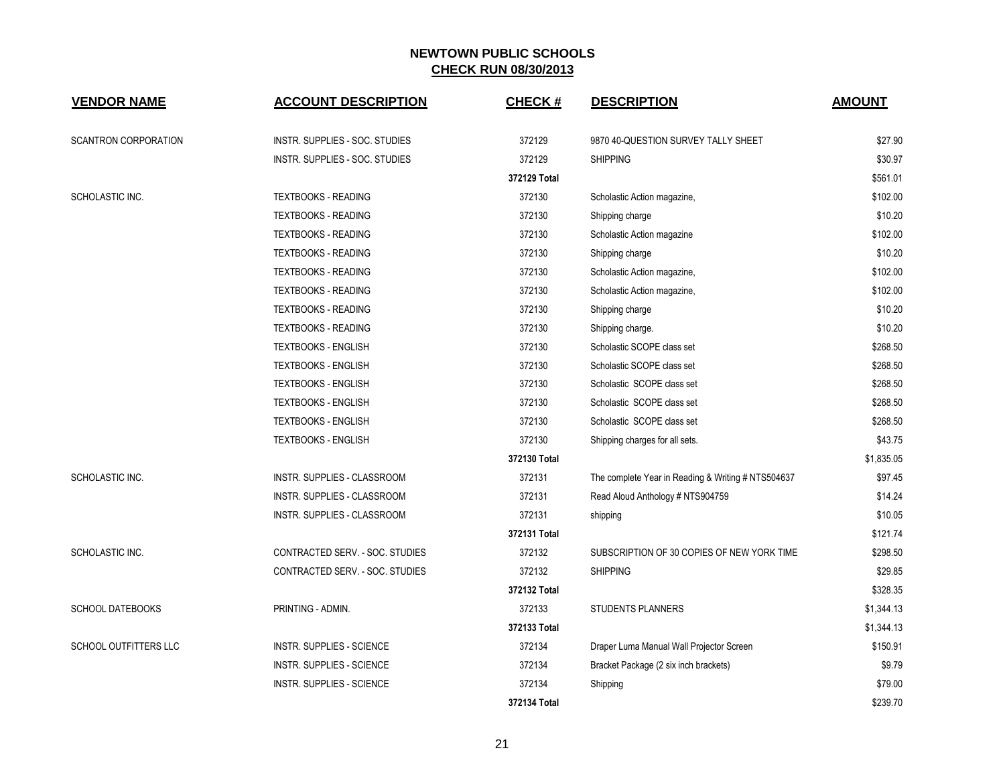| <b>VENDOR NAME</b>          | <b>ACCOUNT DESCRIPTION</b>       | <b>CHECK#</b> | <b>DESCRIPTION</b>                                 | <b>AMOUNT</b> |
|-----------------------------|----------------------------------|---------------|----------------------------------------------------|---------------|
| <b>SCANTRON CORPORATION</b> | INSTR. SUPPLIES - SOC. STUDIES   | 372129        | 9870 40-QUESTION SURVEY TALLY SHEET                | \$27.90       |
|                             | INSTR. SUPPLIES - SOC. STUDIES   | 372129        | <b>SHIPPING</b>                                    | \$30.97       |
|                             |                                  | 372129 Total  |                                                    | \$561.01      |
| SCHOLASTIC INC.             | <b>TEXTBOOKS - READING</b>       | 372130        | Scholastic Action magazine,                        | \$102.00      |
|                             | <b>TEXTBOOKS - READING</b>       | 372130        | Shipping charge                                    | \$10.20       |
|                             | <b>TEXTBOOKS - READING</b>       | 372130        | Scholastic Action magazine                         | \$102.00      |
|                             | <b>TEXTBOOKS - READING</b>       | 372130        | Shipping charge                                    | \$10.20       |
|                             | <b>TEXTBOOKS - READING</b>       | 372130        | Scholastic Action magazine,                        | \$102.00      |
|                             | <b>TEXTBOOKS - READING</b>       | 372130        | Scholastic Action magazine,                        | \$102.00      |
|                             | <b>TEXTBOOKS - READING</b>       | 372130        | Shipping charge                                    | \$10.20       |
|                             | <b>TEXTBOOKS - READING</b>       | 372130        | Shipping charge.                                   | \$10.20       |
|                             | <b>TEXTBOOKS - ENGLISH</b>       | 372130        | Scholastic SCOPE class set                         | \$268.50      |
|                             | <b>TEXTBOOKS - ENGLISH</b>       | 372130        | Scholastic SCOPE class set                         | \$268.50      |
|                             | <b>TEXTBOOKS - ENGLISH</b>       | 372130        | Scholastic SCOPE class set                         | \$268.50      |
|                             | <b>TEXTBOOKS - ENGLISH</b>       | 372130        | Scholastic SCOPE class set                         | \$268.50      |
|                             | <b>TEXTBOOKS - ENGLISH</b>       | 372130        | Scholastic SCOPE class set                         | \$268.50      |
|                             | <b>TEXTBOOKS - ENGLISH</b>       | 372130        | Shipping charges for all sets.                     | \$43.75       |
|                             |                                  | 372130 Total  |                                                    | \$1,835.05    |
| SCHOLASTIC INC.             | INSTR. SUPPLIES - CLASSROOM      | 372131        | The complete Year in Reading & Writing # NTS504637 | \$97.45       |
|                             | INSTR. SUPPLIES - CLASSROOM      | 372131        | Read Aloud Anthology # NTS904759                   | \$14.24       |
|                             | INSTR. SUPPLIES - CLASSROOM      | 372131        | shipping                                           | \$10.05       |
|                             |                                  | 372131 Total  |                                                    | \$121.74      |
| SCHOLASTIC INC.             | CONTRACTED SERV. - SOC. STUDIES  | 372132        | SUBSCRIPTION OF 30 COPIES OF NEW YORK TIME         | \$298.50      |
|                             | CONTRACTED SERV. - SOC. STUDIES  | 372132        | <b>SHIPPING</b>                                    | \$29.85       |
|                             |                                  | 372132 Total  |                                                    | \$328.35      |
| <b>SCHOOL DATEBOOKS</b>     | PRINTING - ADMIN.                | 372133        | <b>STUDENTS PLANNERS</b>                           | \$1,344.13    |
|                             |                                  | 372133 Total  |                                                    | \$1,344.13    |
| SCHOOL OUTFITTERS LLC       | <b>INSTR. SUPPLIES - SCIENCE</b> | 372134        | Draper Luma Manual Wall Projector Screen           | \$150.91      |
|                             | INSTR. SUPPLIES - SCIENCE        | 372134        | Bracket Package (2 six inch brackets)              | \$9.79        |
|                             | <b>INSTR. SUPPLIES - SCIENCE</b> | 372134        | Shipping                                           | \$79.00       |
|                             |                                  | 372134 Total  |                                                    | \$239.70      |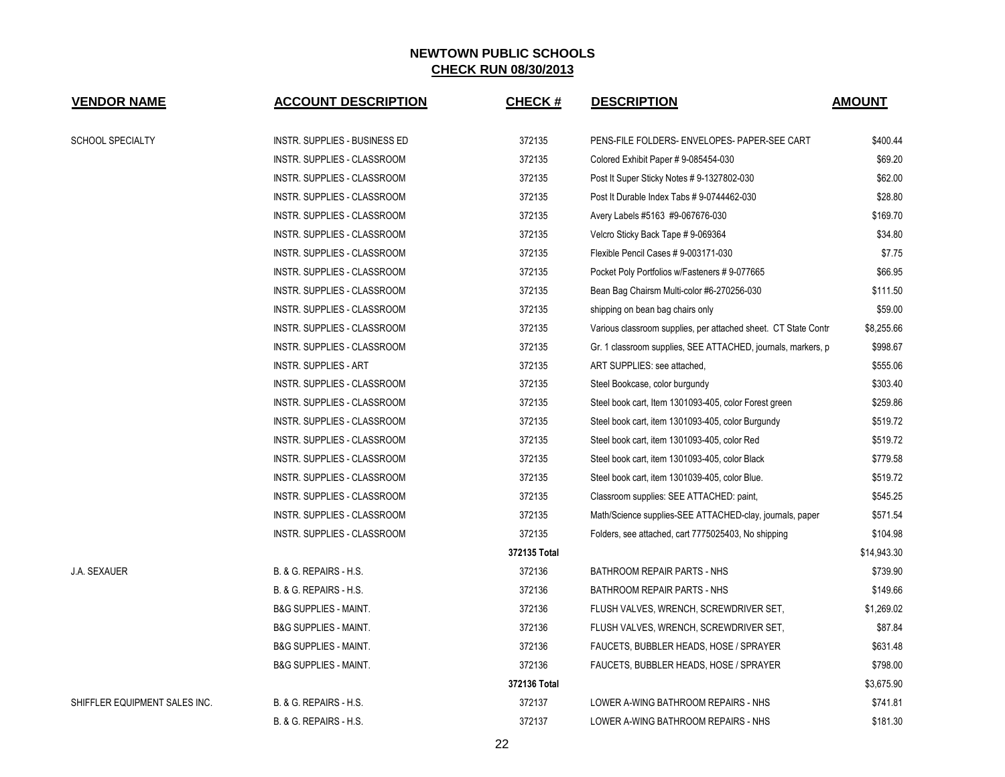| <b>VENDOR NAME</b>            | <b>ACCOUNT DESCRIPTION</b>        | <b>CHECK#</b> | <b>DESCRIPTION</b>                                             | <b>AMOUNT</b> |
|-------------------------------|-----------------------------------|---------------|----------------------------------------------------------------|---------------|
| <b>SCHOOL SPECIALTY</b>       | INSTR. SUPPLIES - BUSINESS ED     | 372135        | PENS-FILE FOLDERS- ENVELOPES- PAPER-SEE CART                   | \$400.44      |
|                               | INSTR. SUPPLIES - CLASSROOM       | 372135        | Colored Exhibit Paper # 9-085454-030                           | \$69.20       |
|                               | INSTR. SUPPLIES - CLASSROOM       | 372135        | Post It Super Sticky Notes # 9-1327802-030                     | \$62.00       |
|                               | INSTR. SUPPLIES - CLASSROOM       | 372135        | Post It Durable Index Tabs #9-0744462-030                      | \$28.80       |
|                               | INSTR. SUPPLIES - CLASSROOM       | 372135        | Avery Labels #5163 #9-067676-030                               | \$169.70      |
|                               | INSTR. SUPPLIES - CLASSROOM       | 372135        | Velcro Sticky Back Tape # 9-069364                             | \$34.80       |
|                               | INSTR. SUPPLIES - CLASSROOM       | 372135        | Flexible Pencil Cases # 9-003171-030                           | \$7.75        |
|                               | INSTR. SUPPLIES - CLASSROOM       | 372135        | Pocket Poly Portfolios w/Fasteners #9-077665                   | \$66.95       |
|                               | INSTR. SUPPLIES - CLASSROOM       | 372135        | Bean Bag Chairsm Multi-color #6-270256-030                     | \$111.50      |
|                               | INSTR. SUPPLIES - CLASSROOM       | 372135        | shipping on bean bag chairs only                               | \$59.00       |
|                               | INSTR. SUPPLIES - CLASSROOM       | 372135        | Various classroom supplies, per attached sheet. CT State Contr | \$8,255.66    |
|                               | INSTR. SUPPLIES - CLASSROOM       | 372135        | Gr. 1 classroom supplies, SEE ATTACHED, journals, markers, p   | \$998.67      |
|                               | <b>INSTR. SUPPLIES - ART</b>      | 372135        | ART SUPPLIES: see attached.                                    | \$555.06      |
|                               | INSTR. SUPPLIES - CLASSROOM       | 372135        | Steel Bookcase, color burgundy                                 | \$303.40      |
|                               | INSTR. SUPPLIES - CLASSROOM       | 372135        | Steel book cart, Item 1301093-405, color Forest green          | \$259.86      |
|                               | INSTR. SUPPLIES - CLASSROOM       | 372135        | Steel book cart, item 1301093-405, color Burgundy              | \$519.72      |
|                               | INSTR. SUPPLIES - CLASSROOM       | 372135        | Steel book cart, item 1301093-405, color Red                   | \$519.72      |
|                               | INSTR. SUPPLIES - CLASSROOM       | 372135        | Steel book cart, item 1301093-405, color Black                 | \$779.58      |
|                               | INSTR. SUPPLIES - CLASSROOM       | 372135        | Steel book cart, item 1301039-405, color Blue.                 | \$519.72      |
|                               | INSTR. SUPPLIES - CLASSROOM       | 372135        | Classroom supplies: SEE ATTACHED: paint,                       | \$545.25      |
|                               | INSTR. SUPPLIES - CLASSROOM       | 372135        | Math/Science supplies-SEE ATTACHED-clay, journals, paper       | \$571.54      |
|                               | INSTR. SUPPLIES - CLASSROOM       | 372135        | Folders, see attached, cart 7775025403, No shipping            | \$104.98      |
|                               |                                   | 372135 Total  |                                                                | \$14,943.30   |
| J.A. SEXAUER                  | B. & G. REPAIRS - H.S.            | 372136        | BATHROOM REPAIR PARTS - NHS                                    | \$739.90      |
|                               | B. & G. REPAIRS - H.S.            | 372136        | BATHROOM REPAIR PARTS - NHS                                    | \$149.66      |
|                               | <b>B&amp;G SUPPLIES - MAINT.</b>  | 372136        | FLUSH VALVES, WRENCH, SCREWDRIVER SET,                         | \$1,269.02    |
|                               | <b>B&amp;G SUPPLIES - MAINT.</b>  | 372136        | FLUSH VALVES, WRENCH, SCREWDRIVER SET,                         | \$87.84       |
|                               | <b>B&amp;G SUPPLIES - MAINT.</b>  | 372136        | FAUCETS, BUBBLER HEADS, HOSE / SPRAYER                         | \$631.48      |
|                               | <b>B&amp;G SUPPLIES - MAINT.</b>  | 372136        | FAUCETS, BUBBLER HEADS, HOSE / SPRAYER                         | \$798.00      |
|                               |                                   | 372136 Total  |                                                                | \$3,675.90    |
| SHIFFLER EQUIPMENT SALES INC. | B. & G. REPAIRS - H.S.            | 372137        | LOWER A-WING BATHROOM REPAIRS - NHS                            | \$741.81      |
|                               | <b>B. &amp; G. REPAIRS - H.S.</b> | 372137        | LOWER A-WING BATHROOM REPAIRS - NHS                            | \$181.30      |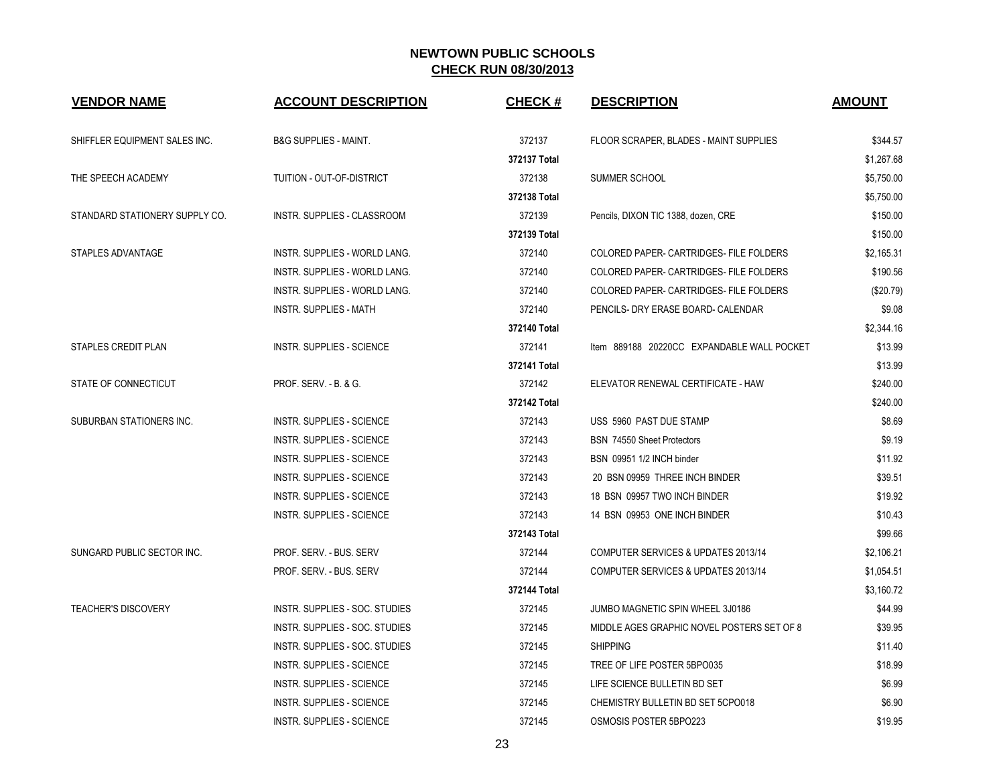| <b>VENDOR NAME</b>             | <b>ACCOUNT DESCRIPTION</b>         | <b>CHECK#</b> | <b>DESCRIPTION</b>                         | <b>AMOUNT</b> |
|--------------------------------|------------------------------------|---------------|--------------------------------------------|---------------|
| SHIFFLER EQUIPMENT SALES INC.  | <b>B&amp;G SUPPLIES - MAINT.</b>   | 372137        | FLOOR SCRAPER, BLADES - MAINT SUPPLIES     | \$344.57      |
|                                |                                    | 372137 Total  |                                            | \$1,267.68    |
| THE SPEECH ACADEMY             | TUITION - OUT-OF-DISTRICT          | 372138        | <b>SUMMER SCHOOL</b>                       | \$5,750.00    |
|                                |                                    | 372138 Total  |                                            | \$5,750.00    |
| STANDARD STATIONERY SUPPLY CO. | <b>INSTR. SUPPLIES - CLASSROOM</b> | 372139        | Pencils, DIXON TIC 1388, dozen, CRE        | \$150.00      |
|                                |                                    | 372139 Total  |                                            | \$150.00      |
| STAPLES ADVANTAGE              | INSTR. SUPPLIES - WORLD LANG.      | 372140        | COLORED PAPER- CARTRIDGES- FILE FOLDERS    | \$2,165.31    |
|                                | INSTR. SUPPLIES - WORLD LANG.      | 372140        | COLORED PAPER- CARTRIDGES- FILE FOLDERS    | \$190.56      |
|                                | INSTR. SUPPLIES - WORLD LANG.      | 372140        | COLORED PAPER- CARTRIDGES- FILE FOLDERS    | (\$20.79)     |
|                                | <b>INSTR. SUPPLIES - MATH</b>      | 372140        | PENCILS- DRY ERASE BOARD- CALENDAR         | \$9.08        |
|                                |                                    | 372140 Total  |                                            | \$2,344.16    |
| <b>STAPLES CREDIT PLAN</b>     | <b>INSTR. SUPPLIES - SCIENCE</b>   | 372141        | Item 889188 20220CC EXPANDABLE WALL POCKET | \$13.99       |
|                                |                                    | 372141 Total  |                                            | \$13.99       |
| STATE OF CONNECTICUT           | <b>PROF. SERV. - B. &amp; G.</b>   | 372142        | ELEVATOR RENEWAL CERTIFICATE - HAW         | \$240.00      |
|                                |                                    | 372142 Total  |                                            | \$240.00      |
| SUBURBAN STATIONERS INC.       | <b>INSTR. SUPPLIES - SCIENCE</b>   | 372143        | USS 5960 PAST DUE STAMP                    | \$8.69        |
|                                | <b>INSTR. SUPPLIES - SCIENCE</b>   | 372143        | <b>BSN 74550 Sheet Protectors</b>          | \$9.19        |
|                                | <b>INSTR. SUPPLIES - SCIENCE</b>   | 372143        | BSN 09951 1/2 INCH binder                  | \$11.92       |
|                                | <b>INSTR. SUPPLIES - SCIENCE</b>   | 372143        | 20 BSN 09959 THREE INCH BINDER             | \$39.51       |
|                                | <b>INSTR. SUPPLIES - SCIENCE</b>   | 372143        | 18 BSN 09957 TWO INCH BINDER               | \$19.92       |
|                                | <b>INSTR. SUPPLIES - SCIENCE</b>   | 372143        | 14 BSN 09953 ONE INCH BINDER               | \$10.43       |
|                                |                                    | 372143 Total  |                                            | \$99.66       |
| SUNGARD PUBLIC SECTOR INC.     | PROF. SERV. - BUS. SERV            | 372144        | COMPUTER SERVICES & UPDATES 2013/14        | \$2,106.21    |
|                                | PROF. SERV. - BUS. SERV            | 372144        | COMPUTER SERVICES & UPDATES 2013/14        | \$1,054.51    |
|                                |                                    | 372144 Total  |                                            | \$3.160.72    |
| <b>TEACHER'S DISCOVERY</b>     | INSTR. SUPPLIES - SOC. STUDIES     | 372145        | JUMBO MAGNETIC SPIN WHEEL 3J0186           | \$44.99       |
|                                | INSTR. SUPPLIES - SOC. STUDIES     | 372145        | MIDDLE AGES GRAPHIC NOVEL POSTERS SET OF 8 | \$39.95       |
|                                | INSTR. SUPPLIES - SOC. STUDIES     | 372145        | <b>SHIPPING</b>                            | \$11.40       |
|                                | <b>INSTR. SUPPLIES - SCIENCE</b>   | 372145        | TREE OF LIFE POSTER 5BPO035                | \$18.99       |
|                                | <b>INSTR. SUPPLIES - SCIENCE</b>   | 372145        | LIFE SCIENCE BULLETIN BD SET               | \$6.99        |
|                                | <b>INSTR. SUPPLIES - SCIENCE</b>   | 372145        | CHEMISTRY BULLETIN BD SET 5CPO018          | \$6.90        |
|                                | <b>INSTR. SUPPLIES - SCIENCE</b>   | 372145        | OSMOSIS POSTER 5BPO223                     | \$19.95       |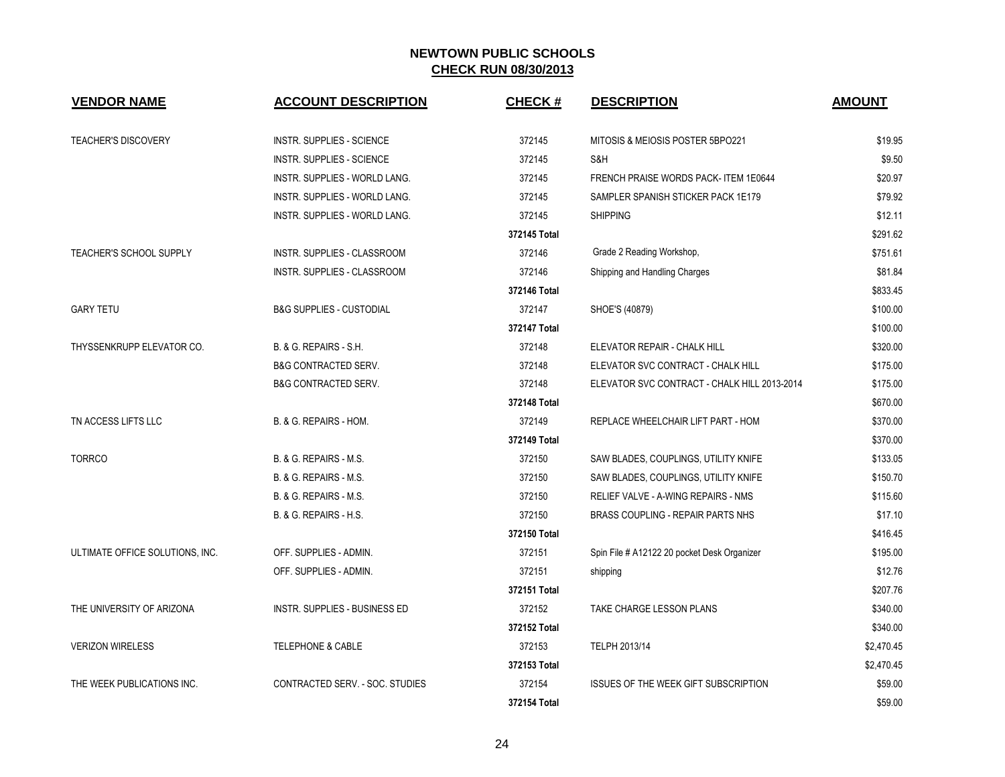| <b>VENDOR NAME</b>              | <b>ACCOUNT DESCRIPTION</b>          | <b>CHECK#</b> | <b>DESCRIPTION</b>                           | <b>AMOUNT</b> |
|---------------------------------|-------------------------------------|---------------|----------------------------------------------|---------------|
| <b>TEACHER'S DISCOVERY</b>      | <b>INSTR. SUPPLIES - SCIENCE</b>    | 372145        | MITOSIS & MEIOSIS POSTER 5BPO221             | \$19.95       |
|                                 | INSTR. SUPPLIES - SCIENCE           | 372145        | S&H                                          | \$9.50        |
|                                 | INSTR. SUPPLIES - WORLD LANG.       | 372145        | FRENCH PRAISE WORDS PACK- ITEM 1E0644        | \$20.97       |
|                                 | INSTR. SUPPLIES - WORLD LANG.       | 372145        | SAMPLER SPANISH STICKER PACK 1E179           | \$79.92       |
|                                 | INSTR. SUPPLIES - WORLD LANG.       | 372145        | <b>SHIPPING</b>                              | \$12.11       |
|                                 |                                     | 372145 Total  |                                              | \$291.62      |
| <b>TEACHER'S SCHOOL SUPPLY</b>  | INSTR. SUPPLIES - CLASSROOM         | 372146        | Grade 2 Reading Workshop,                    | \$751.61      |
|                                 | INSTR. SUPPLIES - CLASSROOM         | 372146        | Shipping and Handling Charges                | \$81.84       |
|                                 |                                     | 372146 Total  |                                              | \$833.45      |
| <b>GARY TETU</b>                | <b>B&amp;G SUPPLIES - CUSTODIAL</b> | 372147        | SHOE'S (40879)                               | \$100.00      |
|                                 |                                     | 372147 Total  |                                              | \$100.00      |
| THYSSENKRUPP ELEVATOR CO.       | B. & G. REPAIRS - S.H.              | 372148        | ELEVATOR REPAIR - CHALK HILL                 | \$320.00      |
|                                 | <b>B&amp;G CONTRACTED SERV.</b>     | 372148        | ELEVATOR SVC CONTRACT - CHALK HILL           | \$175.00      |
|                                 | <b>B&amp;G CONTRACTED SERV.</b>     | 372148        | ELEVATOR SVC CONTRACT - CHALK HILL 2013-2014 | \$175.00      |
|                                 |                                     | 372148 Total  |                                              | \$670.00      |
| TN ACCESS LIFTS LLC             | B. & G. REPAIRS - HOM.              | 372149        | REPLACE WHEELCHAIR LIFT PART - HOM           | \$370.00      |
|                                 |                                     | 372149 Total  |                                              | \$370.00      |
| <b>TORRCO</b>                   | B. & G. REPAIRS - M.S.              | 372150        | SAW BLADES, COUPLINGS, UTILITY KNIFE         | \$133.05      |
|                                 | B. & G. REPAIRS - M.S.              | 372150        | SAW BLADES, COUPLINGS, UTILITY KNIFE         | \$150.70      |
|                                 | B. & G. REPAIRS - M.S.              | 372150        | RELIEF VALVE - A-WING REPAIRS - NMS          | \$115.60      |
|                                 | B. & G. REPAIRS - H.S.              | 372150        | BRASS COUPLING - REPAIR PARTS NHS            | \$17.10       |
|                                 |                                     | 372150 Total  |                                              | \$416.45      |
| ULTIMATE OFFICE SOLUTIONS, INC. | OFF. SUPPLIES - ADMIN.              | 372151        | Spin File # A12122 20 pocket Desk Organizer  | \$195.00      |
|                                 | OFF. SUPPLIES - ADMIN.              | 372151        | shipping                                     | \$12.76       |
|                                 |                                     | 372151 Total  |                                              | \$207.76      |
| THE UNIVERSITY OF ARIZONA       | INSTR. SUPPLIES - BUSINESS ED       | 372152        | TAKE CHARGE LESSON PLANS                     | \$340.00      |
|                                 |                                     | 372152 Total  |                                              | \$340.00      |
| <b>VERIZON WIRELESS</b>         | <b>TELEPHONE &amp; CABLE</b>        | 372153        | TELPH 2013/14                                | \$2,470.45    |
|                                 |                                     | 372153 Total  |                                              | \$2,470.45    |
| THE WEEK PUBLICATIONS INC.      | CONTRACTED SERV. - SOC. STUDIES     | 372154        | <b>ISSUES OF THE WEEK GIFT SUBSCRIPTION</b>  | \$59.00       |
|                                 |                                     | 372154 Total  |                                              | \$59.00       |